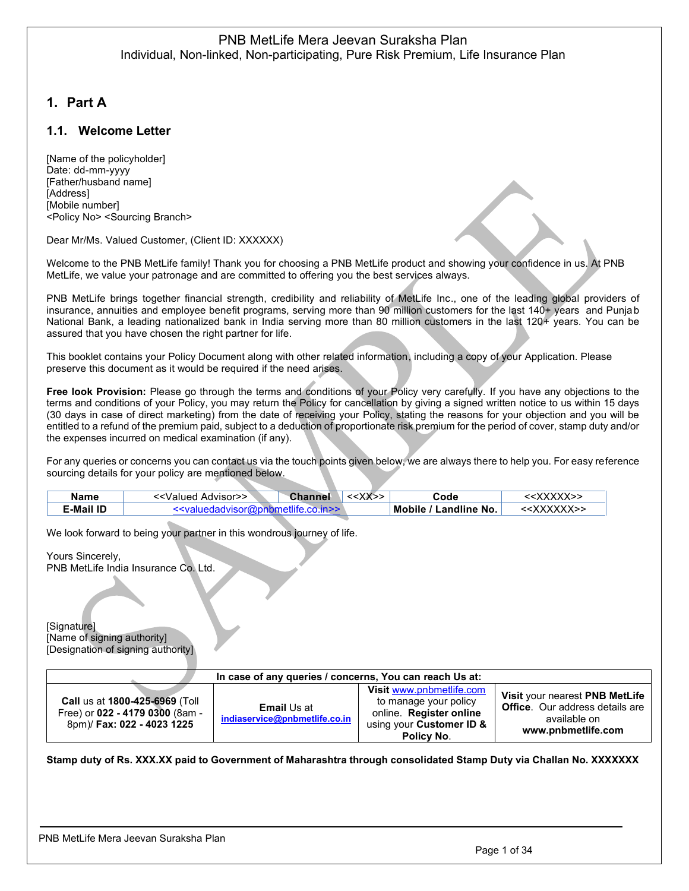# <span id="page-0-0"></span>**1. Part A**

## <span id="page-0-1"></span>**1.1. Welcome Letter**

[Name of the policyholder] Date: dd-mm-yyyy [Father/husband name] [Address] [Mobile number] <Policy No> <Sourcing Branch>

Dear Mr/Ms. Valued Customer, (Client ID: XXXXXX)

Welcome to the PNB MetLife family! Thank you for choosing a PNB MetLife product and showing your confidence in us. At PNB MetLife, we value your patronage and are committed to offering you the best services always.

PNB MetLife brings together financial strength, credibility and reliability of MetLife Inc., one of the leading global providers of insurance, annuities and employee benefit programs, serving more than 90 million customers for the last 140+ years and Punjab National Bank, a leading nationalized bank in India serving more than 80 million customers in the last 120+ years. You can be assured that you have chosen the right partner for life.

This booklet contains your Policy Document along with other related information, including a copy of your Application. Please preserve this document as it would be required if the need arises.

**Free look Provision:** Please go through the terms and conditions of your Policy very carefully. If you have any objections to the terms and conditions of your Policy, you may return the Policy for cancellation by giving a signed written notice to us within 15 days (30 days in case of direct marketing) from the date of receiving your Policy, stating the reasons for your objection and you will be entitled to a refund of the premium paid, subject to a deduction of proportionate risk premium for the period of cover, stamp duty and/or the expenses incurred on medical examination (if any).

For any queries or concerns you can contact us via the touch points given below, we are always there to help you. For easy reference sourcing details for your policy are mentioned below.

| Name      | < <valued advisor="">&gt;</valued>                                      | <b>Channel</b> | $<<$ $X$ $>$ $>$ | Code                  | < <xxxxx>&gt;</xxxxx>   |
|-----------|-------------------------------------------------------------------------|----------------|------------------|-----------------------|-------------------------|
| :-Mail ID | < <valuedadvisor@pnhmetlife.co.in>&gt;</valuedadvisor@pnhmetlife.co.in> |                |                  | Mobile / Landline No. | < <xxxxxx>&gt;</xxxxxx> |

We look forward to being your partner in this wondrous journey of life.

Yours Sincerely, PNB MetLife India Insurance Co. Ltd.

[Signature] [Name of signing authority] [Designation of signing authority]

| In case of any queries / concerns, You can reach Us at:                                         |                                                     |                                                                                                                        |                                                                                                                |  |
|-------------------------------------------------------------------------------------------------|-----------------------------------------------------|------------------------------------------------------------------------------------------------------------------------|----------------------------------------------------------------------------------------------------------------|--|
| Call us at 1800-425-6969 (Toll<br>Free) or 022 - 4179 0300 (8am -<br>8pm)/ Fax: 022 - 4023 1225 | <b>Email Us at</b><br>indiaservice@pnbmetlife.co.in | Visit www.pnbmetlife.com<br>to manage your policy<br>online. Register online<br>using your Customer ID &<br>Policy No. | Visit your nearest PNB MetLife<br><b>Office.</b> Our address details are<br>available on<br>www.pnbmetlife.com |  |

**Stamp duty of Rs. XXX.XX paid to Government of Maharashtra through consolidated Stamp Duty via Challan No. XXXXXXX**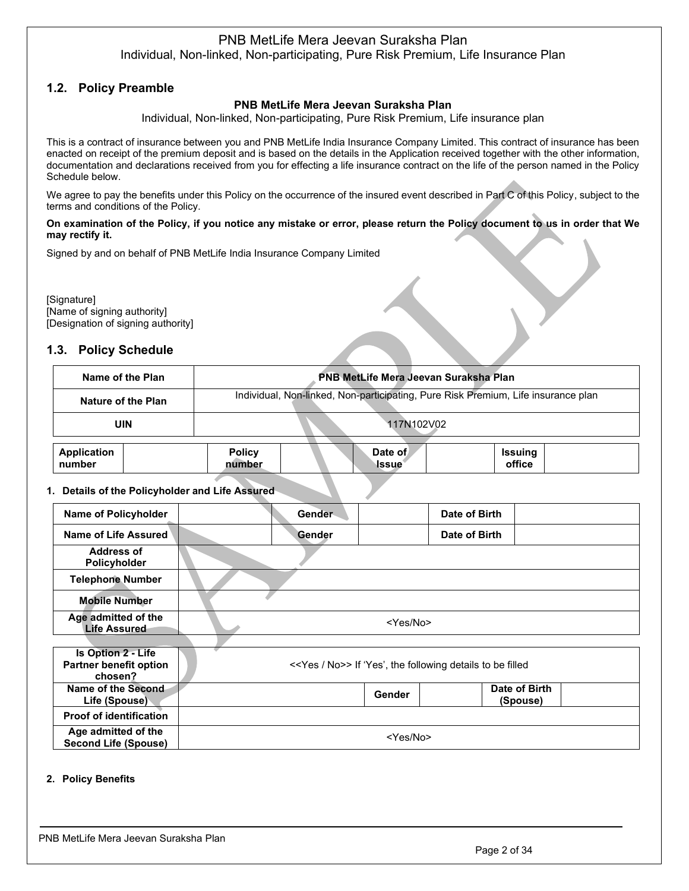# <span id="page-1-0"></span>**1.2. Policy Preamble**

### **PNB MetLife Mera Jeevan Suraksha Plan**

Individual, Non-linked, Non-participating, Pure Risk Premium, Life insurance plan

This is a contract of insurance between you and PNB MetLife India Insurance Company Limited. This contract of insurance has been enacted on receipt of the premium deposit and is based on the details in the Application received together with the other information, documentation and declarations received from you for effecting a life insurance contract on the life of the person named in the Policy Schedule below.

We agree to pay the benefits under this Policy on the occurrence of the insured event described in Part C of this Policy, subject to the terms and conditions of the Policy.

#### **On examination of the Policy, if you notice any mistake or error, please return the Policy document to us in order that We may rectify it.**

Signed by and on behalf of PNB MetLife India Insurance Company Limited

[Signature] [Name of signing authority] [Designation of signing authority]

# <span id="page-1-1"></span>**1.3. Policy Schedule**

| PNB MetLife Mera Jeevan Suraksha Plan<br>Name of the Plan |  |                                                                                   |  |                         |                   |  |
|-----------------------------------------------------------|--|-----------------------------------------------------------------------------------|--|-------------------------|-------------------|--|
| Nature of the Plan                                        |  | Individual, Non-linked, Non-participating, Pure Risk Premium, Life insurance plan |  |                         |                   |  |
| <b>UIN</b>                                                |  |                                                                                   |  | 117N102V02              |                   |  |
| Application<br>number                                     |  | <b>Policy</b><br>number                                                           |  | Date of<br><b>Issue</b> | Issuing<br>office |  |

### **1. Details of the Policyholder and Life Assured**

| <b>Name of Policyholder</b>                                    |                   | Gender |        | Date of Birth                                                        |                           |
|----------------------------------------------------------------|-------------------|--------|--------|----------------------------------------------------------------------|---------------------------|
| Name of Life Assured                                           |                   | Gender |        | Date of Birth                                                        |                           |
| <b>Address of</b><br>Policyholder                              |                   |        |        |                                                                      |                           |
| <b>Telephone Number</b>                                        |                   |        |        |                                                                      |                           |
| <b>Mobile Number</b>                                           |                   |        |        |                                                                      |                           |
| Age admitted of the<br><b>Life Assured</b>                     | <yes no=""></yes> |        |        |                                                                      |                           |
|                                                                |                   |        |        |                                                                      |                           |
| Is Option 2 - Life<br><b>Partner benefit option</b><br>chosen? |                   |        |        | < <yes no="">&gt; If 'Yes', the following details to be filled</yes> |                           |
| Name of the Second<br>Life (Spouse)                            |                   |        | Gender |                                                                      | Date of Birth<br>(Spouse) |
| <b>Proof of identification</b>                                 |                   |        |        |                                                                      |                           |
| Age admitted of the<br><b>Second Life (Spouse)</b>             | <yes no=""></yes> |        |        |                                                                      |                           |

#### **2. Policy Benefits**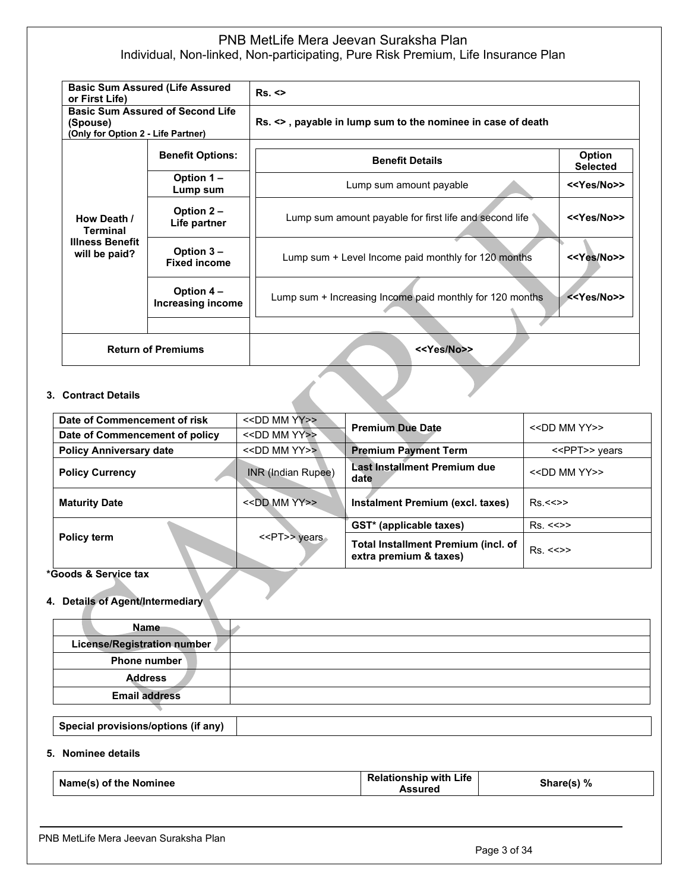| <b>Basic Sum Assured (Life Assured)</b><br>or First Life)                                 |                                 | Rs. <                                                       |                           |
|-------------------------------------------------------------------------------------------|---------------------------------|-------------------------------------------------------------|---------------------------|
| <b>Basic Sum Assured of Second Life</b><br>(Spouse)<br>(Only for Option 2 - Life Partner) |                                 | Rs. <>, payable in lump sum to the nominee in case of death |                           |
|                                                                                           | <b>Benefit Options:</b>         | <b>Benefit Details</b>                                      | Option<br><b>Selected</b> |
|                                                                                           | Option 1-<br>Lump sum           | Lump sum amount payable                                     | < <yes no="">&gt;</yes>   |
| How Death /<br><b>Terminal</b>                                                            | Option 2 -<br>Life partner      | Lump sum amount payable for first life and second life      | < <yes no="">&gt;</yes>   |
| <b>Illness Benefit</b><br>Option 3 -<br>will be paid?<br><b>Fixed income</b>              |                                 | Lump sum + Level Income paid monthly for 120 months         | < <yes no="">&gt;</yes>   |
|                                                                                           | Option 4 -<br>Increasing income | Lump sum + Increasing Income paid monthly for 120 months    | < <yes no="">&gt;</yes>   |
|                                                                                           |                                 |                                                             |                           |
| <b>Return of Premiums</b>                                                                 |                                 | < <yes no="">&gt;</yes>                                     |                           |

### **3. Contract Details**

| Date of Commencement of risk   | < <dd mm="" yy="">&gt;</dd> |                                                               | $<<$ DD MM YY>>         |  |
|--------------------------------|-----------------------------|---------------------------------------------------------------|-------------------------|--|
| Date of Commencement of policy | < <dd mm="" yy="">&gt;</dd> | <b>Premium Due Date</b>                                       |                         |  |
| <b>Policy Anniversary date</b> | < <dd mm="" yy="">&gt;</dd> | <b>Premium Payment Term</b>                                   | < <ppt>&gt; years</ppt> |  |
| <b>Policy Currency</b>         | INR (Indian Rupee)          | Last Installment Premium due<br>date                          | $<<$ DD MM YY>>         |  |
| <b>Maturity Date</b>           | < <dd mm="" yy="">&gt;</dd> | Instalment Premium (excl. taxes)                              | Rs < >>                 |  |
|                                |                             | GST* (applicable taxes)                                       | Rs. < >>                |  |
| Policy term                    | < <pt>&gt; years</pt>       | Total Installment Premium (incl. of<br>extra premium & taxes) | Rs. < >>                |  |

### **\*Goods & Service tax**

## **4. Details of Agent/Intermediary**

| <b>Name</b>                 |  |
|-----------------------------|--|
| License/Registration number |  |
| Phone number                |  |
| <b>Address</b>              |  |
| <b>Email address</b>        |  |
|                             |  |

**Special provisions/options (if any)**

### **5. Nominee details**

| Name(s) of the Nominee | <b>Relationship with Life</b><br>Assured | Share(s) % |
|------------------------|------------------------------------------|------------|
|------------------------|------------------------------------------|------------|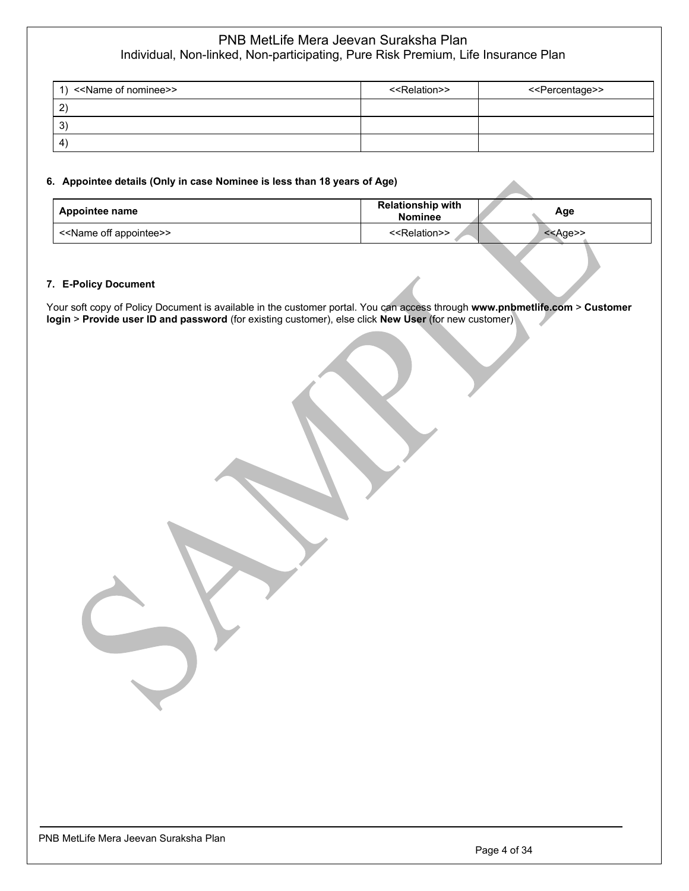| < <name nominee="" of="">&gt;<br/><math>\overline{1}</math></name> | < <relation>&gt;</relation> | < <percentage>&gt;</percentage> |
|--------------------------------------------------------------------|-----------------------------|---------------------------------|
| 2                                                                  |                             |                                 |
| -3                                                                 |                             |                                 |
| $\overline{4}$                                                     |                             |                                 |

### **6. Appointee details (Only in case Nominee is less than 18 years of Age)**

| Appointee name                          | <b>Relationship with</b><br><b>Nominee</b> | Age        |
|-----------------------------------------|--------------------------------------------|------------|
| < <name appointee="" off="">&gt;</name> | < <relation>&gt;</relation>                | $<<$ Age>> |

#### **7. E-Policy Document**

Your soft copy of Policy Document is available in the customer portal. You can access through **www.pnbmetlife.com** > **Customer login** > **Provide user ID and password** (for existing customer), else click **New User** (for new customer)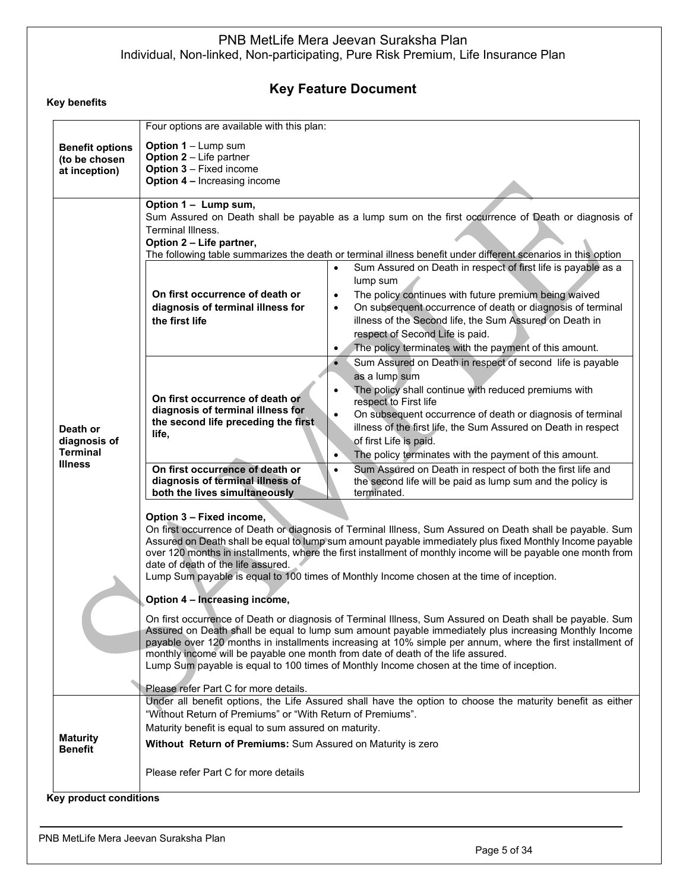# **Key Feature Document**

| <b>Option 1 - Lump sum</b><br><b>Option 2</b> - Life partner<br><b>Option 3 - Fixed income</b><br><b>Option 4 - Increasing income</b><br>Option 1 - Lump sum,<br>Terminal Illness.<br>Option 2 - Life partner,                                                                                                                                                                                                                                                                                                                                                                                                                                                                                                                                                                                                                                                                                                                                                                                                                                                               | Sum Assured on Death shall be payable as a lump sum on the first occurrence of Death or diagnosis of<br>The following table summarizes the death or terminal illness benefit under different scenarios in this option                                                                                                                                                                                                                                                                             |  |
|------------------------------------------------------------------------------------------------------------------------------------------------------------------------------------------------------------------------------------------------------------------------------------------------------------------------------------------------------------------------------------------------------------------------------------------------------------------------------------------------------------------------------------------------------------------------------------------------------------------------------------------------------------------------------------------------------------------------------------------------------------------------------------------------------------------------------------------------------------------------------------------------------------------------------------------------------------------------------------------------------------------------------------------------------------------------------|---------------------------------------------------------------------------------------------------------------------------------------------------------------------------------------------------------------------------------------------------------------------------------------------------------------------------------------------------------------------------------------------------------------------------------------------------------------------------------------------------|--|
|                                                                                                                                                                                                                                                                                                                                                                                                                                                                                                                                                                                                                                                                                                                                                                                                                                                                                                                                                                                                                                                                              |                                                                                                                                                                                                                                                                                                                                                                                                                                                                                                   |  |
| On first occurrence of death or<br>diagnosis of terminal illness for<br>the first life                                                                                                                                                                                                                                                                                                                                                                                                                                                                                                                                                                                                                                                                                                                                                                                                                                                                                                                                                                                       | Sum Assured on Death in respect of first life is payable as a<br>lump sum<br>The policy continues with future premium being waived<br>$\bullet$<br>On subsequent occurrence of death or diagnosis of terminal<br>$\bullet$<br>illness of the Second life, the Sum Assured on Death in<br>respect of Second Life is paid.<br>The policy terminates with the payment of this amount.<br>$\bullet$                                                                                                   |  |
| On first occurrence of death or<br>diagnosis of terminal illness for<br>the second life preceding the first<br>life,<br>On first occurrence of death or                                                                                                                                                                                                                                                                                                                                                                                                                                                                                                                                                                                                                                                                                                                                                                                                                                                                                                                      | Sum Assured on Death in respect of second life is payable<br>as a lump sum<br>The policy shall continue with reduced premiums with<br>$\bullet$<br>respect to First life<br>On subsequent occurrence of death or diagnosis of terminal<br>$\bullet$<br>illness of the first life, the Sum Assured on Death in respect<br>of first Life is paid.<br>The policy terminates with the payment of this amount.<br>$\bullet$<br>Sum Assured on Death in respect of both the first life and<br>$\bullet$ |  |
| the second life will be paid as lump sum and the policy is<br>both the lives simultaneously<br>terminated.<br>Option 3 - Fixed income,<br>On first occurrence of Death or diagnosis of Terminal Illness, Sum Assured on Death shall be payable. Sum<br>Assured on Death shall be equal to lump sum amount payable immediately plus fixed Monthly Income payable<br>over 120 months in installments, where the first installment of monthly income will be payable one month from<br>date of death of the life assured.<br>Lump Sum payable is equal to 100 times of Monthly Income chosen at the time of inception.<br>Option 4 - Increasing income,<br>On first occurrence of Death or diagnosis of Terminal Illness, Sum Assured on Death shall be payable. Sum<br>Assured on Death shall be equal to lump sum amount payable immediately plus increasing Monthly Income<br>payable over 120 months in installments increasing at 10% simple per annum, where the first installment of<br>monthly income will be payable one month from date of death of the life assured. |                                                                                                                                                                                                                                                                                                                                                                                                                                                                                                   |  |
| Please refer Part C for more details.<br>"Without Return of Premiums" or "With Return of Premiums".<br>Maturity benefit is equal to sum assured on maturity.<br>Without Return of Premiums: Sum Assured on Maturity is zero                                                                                                                                                                                                                                                                                                                                                                                                                                                                                                                                                                                                                                                                                                                                                                                                                                                  | Under all benefit options, the Life Assured shall have the option to choose the maturity benefit as either                                                                                                                                                                                                                                                                                                                                                                                        |  |
|                                                                                                                                                                                                                                                                                                                                                                                                                                                                                                                                                                                                                                                                                                                                                                                                                                                                                                                                                                                                                                                                              | diagnosis of terminal illness of<br>Lump Sum payable is equal to 100 times of Monthly Income chosen at the time of inception.<br>Please refer Part C for more details                                                                                                                                                                                                                                                                                                                             |  |

**Key product conditions**

**Key benefits**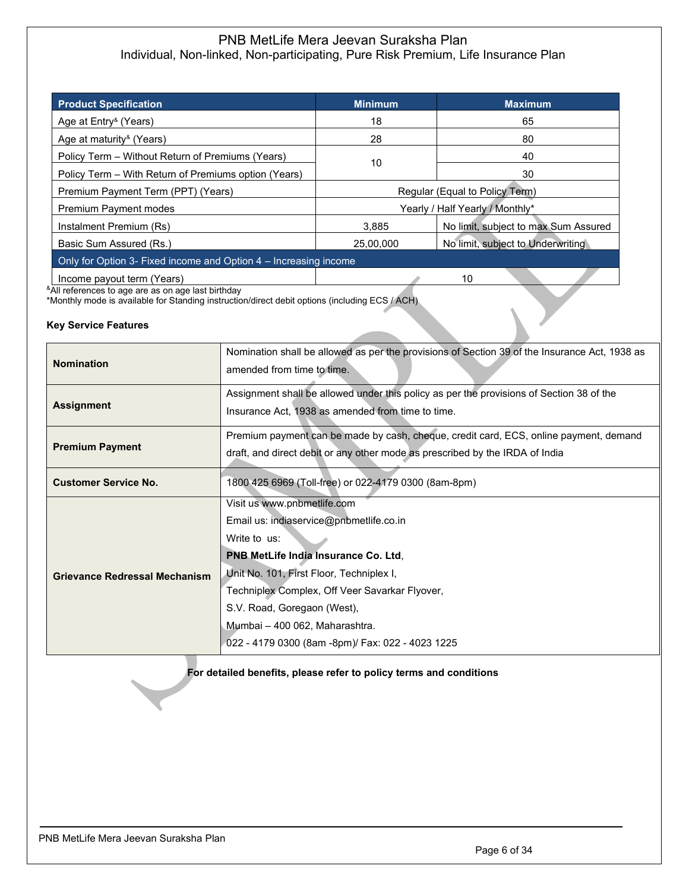| <b>Product Specification</b>                                     | <b>Minimum</b>                  | <b>Maximum</b>                       |  |  |
|------------------------------------------------------------------|---------------------------------|--------------------------------------|--|--|
| Age at Entry <sup>&amp;</sup> (Years)                            | 18                              | 65                                   |  |  |
| Age at maturity <sup>&amp;</sup> (Years)                         | 28                              | 80                                   |  |  |
| Policy Term – Without Return of Premiums (Years)                 | 10                              | 40                                   |  |  |
| Policy Term – With Return of Premiums option (Years)             |                                 | 30                                   |  |  |
| Premium Payment Term (PPT) (Years)                               | Regular (Equal to Policy Term)  |                                      |  |  |
| Premium Payment modes                                            | Yearly / Half Yearly / Monthly* |                                      |  |  |
| Instalment Premium (Rs)                                          | 3.885                           | No limit, subject to max Sum Assured |  |  |
| Basic Sum Assured (Rs.)                                          | 25,00,000                       | No limit, subject to Underwriting    |  |  |
| Only for Option 3- Fixed income and Option 4 – Increasing income |                                 |                                      |  |  |
| Income payout term (Years)                                       |                                 | 10                                   |  |  |

<sup>&</sup>All references to age are as on age last birthday

\*Monthly mode is available for Standing instruction/direct debit options (including ECS / ACH)

### **Key Service Features**

| <b>Nomination</b>                    | Nomination shall be allowed as per the provisions of Section 39 of the Insurance Act, 1938 as<br>amended from time to time.                                                                                                                                                                                                                       |  |
|--------------------------------------|---------------------------------------------------------------------------------------------------------------------------------------------------------------------------------------------------------------------------------------------------------------------------------------------------------------------------------------------------|--|
| <b>Assignment</b>                    | Assignment shall be allowed under this policy as per the provisions of Section 38 of the<br>Insurance Act, 1938 as amended from time to time.                                                                                                                                                                                                     |  |
| <b>Premium Payment</b>               | Premium payment can be made by cash, cheque, credit card, ECS, online payment, demand<br>draft, and direct debit or any other mode as prescribed by the IRDA of India                                                                                                                                                                             |  |
| <b>Customer Service No.</b>          | 1800 425 6969 (Toll-free) or 022-4179 0300 (8am-8pm)                                                                                                                                                                                                                                                                                              |  |
| <b>Grievance Redressal Mechanism</b> | Visit us www.pnbmetlife.com<br>Email us: indiaservice@pnbmetlife.co.in<br>Write to us:<br>PNB MetLife India Insurance Co. Ltd,<br>Unit No. 101, First Floor, Techniplex I,<br>Techniplex Complex, Off Veer Savarkar Flyover,<br>S.V. Road, Goregaon (West),<br>Mumbai – 400 062, Maharashtra.<br>022 - 4179 0300 (8am -8pm)/ Fax: 022 - 4023 1225 |  |

### **For detailed benefits, please refer to policy terms and conditions**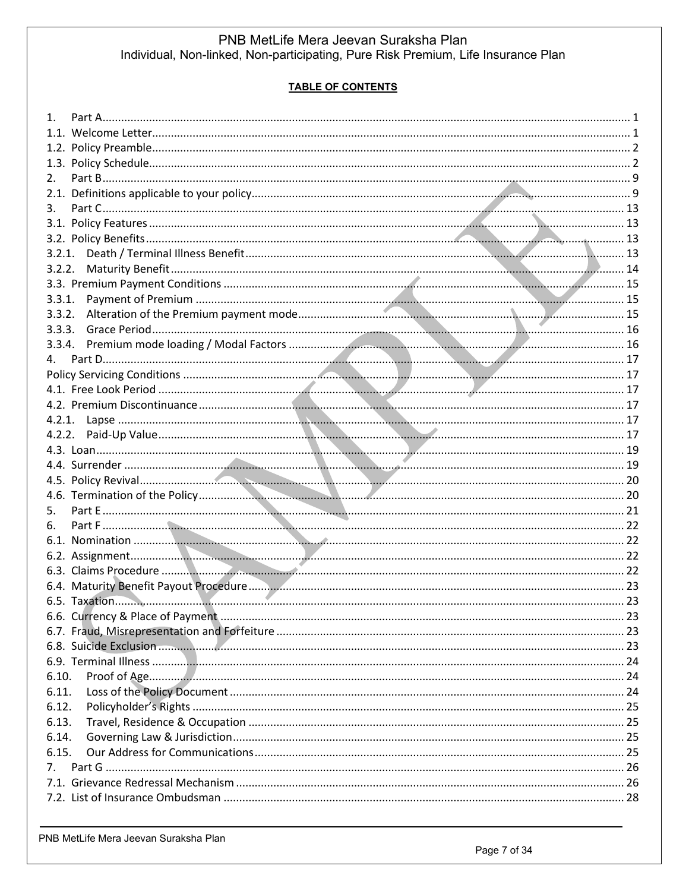# **TABLE OF CONTENTS**

| 2.          |  |
|-------------|--|
|             |  |
| 3.          |  |
|             |  |
|             |  |
| 3.2.1.      |  |
| 3.2.2.      |  |
|             |  |
| 3.3.1.      |  |
| 3.3.2.      |  |
| 3.3.3.      |  |
| 3.3.4.      |  |
| 4.          |  |
|             |  |
|             |  |
|             |  |
|             |  |
| 4.2.2.      |  |
|             |  |
|             |  |
|             |  |
|             |  |
| 5.          |  |
| 6.          |  |
|             |  |
|             |  |
|             |  |
|             |  |
|             |  |
|             |  |
|             |  |
|             |  |
|             |  |
| 6.10.       |  |
| 6.11.       |  |
| 6.12.       |  |
| 6.13.       |  |
| 6.14.       |  |
| 6.15.       |  |
| $7_{\cdot}$ |  |
|             |  |
|             |  |
|             |  |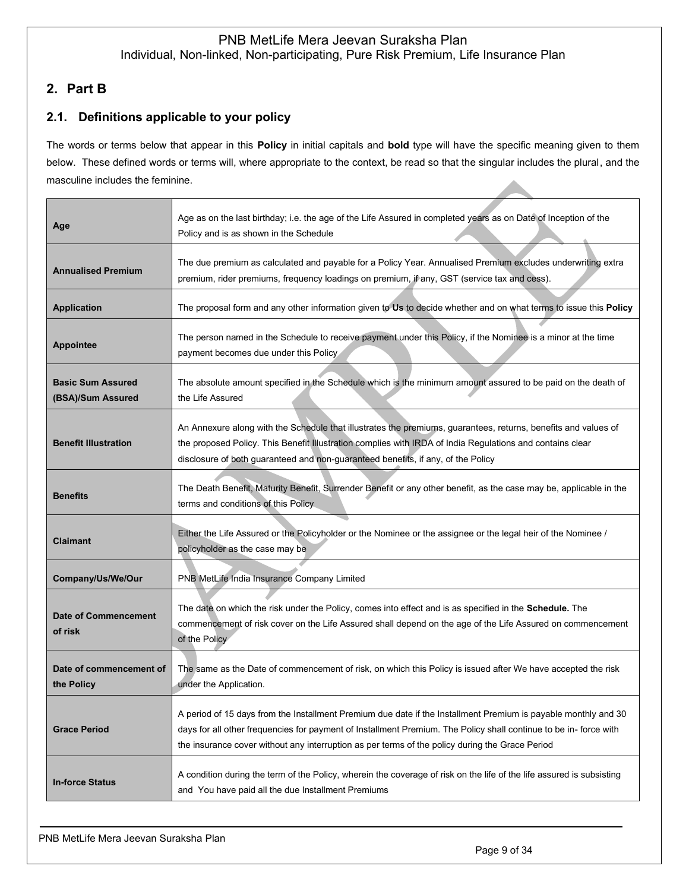# <span id="page-8-0"></span>**2. Part B**

# <span id="page-8-1"></span>**2.1. Definitions applicable to your policy**

The words or terms below that appear in this **Policy** in initial capitals and **bold** type will have the specific meaning given to them below. These defined words or terms will, where appropriate to the context, be read so that the singular includes the plural, and the masculine includes the feminine.

| Age                                           | Age as on the last birthday; i.e. the age of the Life Assured in completed years as on Date of Inception of the<br>Policy and is as shown in the Schedule                                                                                                                                                                              |
|-----------------------------------------------|----------------------------------------------------------------------------------------------------------------------------------------------------------------------------------------------------------------------------------------------------------------------------------------------------------------------------------------|
| <b>Annualised Premium</b>                     | The due premium as calculated and payable for a Policy Year. Annualised Premium excludes underwriting extra<br>premium, rider premiums, frequency loadings on premium, if any, GST (service tax and cess).                                                                                                                             |
| <b>Application</b>                            | The proposal form and any other information given to Us to decide whether and on what terms to issue this Policy                                                                                                                                                                                                                       |
| <b>Appointee</b>                              | The person named in the Schedule to receive payment under this Policy, if the Nominee is a minor at the time<br>payment becomes due under this Policy                                                                                                                                                                                  |
| <b>Basic Sum Assured</b><br>(BSA)/Sum Assured | The absolute amount specified in the Schedule which is the minimum amount assured to be paid on the death of<br>the Life Assured                                                                                                                                                                                                       |
| <b>Benefit Illustration</b>                   | An Annexure along with the Schedule that illustrates the premiums, guarantees, returns, benefits and values of<br>the proposed Policy. This Benefit Illustration complies with IRDA of India Regulations and contains clear<br>disclosure of both guaranteed and non-guaranteed benefits, if any, of the Policy                        |
| <b>Benefits</b>                               | The Death Benefit, Maturity Benefit, Surrender Benefit or any other benefit, as the case may be, applicable in the<br>terms and conditions of this Policy                                                                                                                                                                              |
| <b>Claimant</b>                               | Either the Life Assured or the Policyholder or the Nominee or the assignee or the legal heir of the Nominee /<br>policyholder as the case may be                                                                                                                                                                                       |
| Company/Us/We/Our                             | PNB MetLife India Insurance Company Limited                                                                                                                                                                                                                                                                                            |
| <b>Date of Commencement</b><br>of risk        | The date on which the risk under the Policy, comes into effect and is as specified in the Schedule. The<br>commencement of risk cover on the Life Assured shall depend on the age of the Life Assured on commencement<br>of the Policy                                                                                                 |
| Date of commencement of<br>the Policy         | The same as the Date of commencement of risk, on which this Policy is issued after We have accepted the risk<br>under the Application.                                                                                                                                                                                                 |
| <b>Grace Period</b>                           | A period of 15 days from the Installment Premium due date if the Installment Premium is payable monthly and 30<br>days for all other frequencies for payment of Installment Premium. The Policy shall continue to be in- force with<br>the insurance cover without any interruption as per terms of the policy during the Grace Period |
| <b>In-force Status</b>                        | A condition during the term of the Policy, wherein the coverage of risk on the life of the life assured is subsisting<br>and You have paid all the due Installment Premiums                                                                                                                                                            |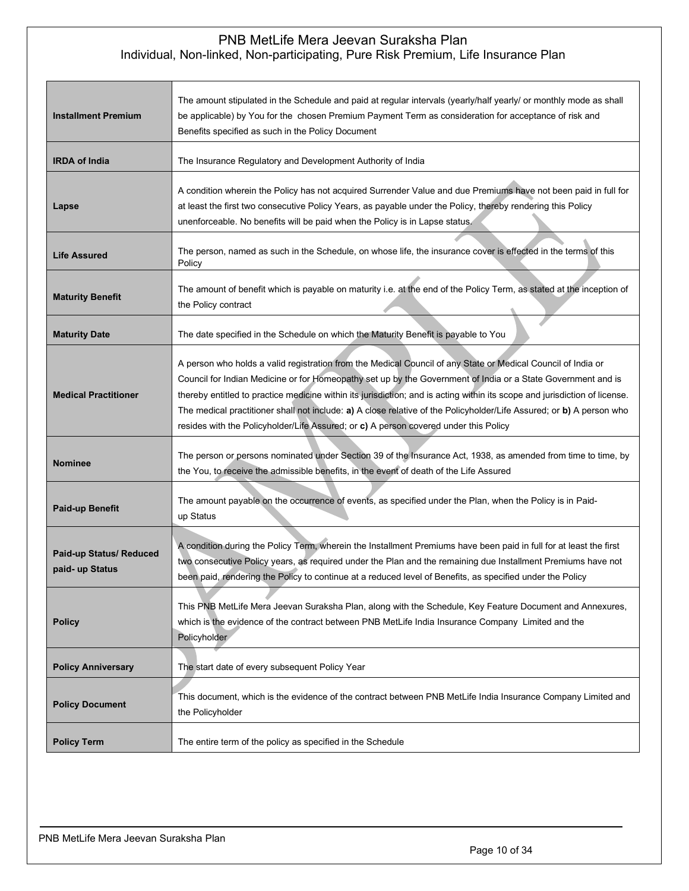| <b>Installment Premium</b>                 | The amount stipulated in the Schedule and paid at regular intervals (yearly/half yearly/ or monthly mode as shall<br>be applicable) by You for the chosen Premium Payment Term as consideration for acceptance of risk and<br>Benefits specified as such in the Policy Document                                                                                                                                                                                                                                                                                            |  |
|--------------------------------------------|----------------------------------------------------------------------------------------------------------------------------------------------------------------------------------------------------------------------------------------------------------------------------------------------------------------------------------------------------------------------------------------------------------------------------------------------------------------------------------------------------------------------------------------------------------------------------|--|
| <b>IRDA of India</b>                       | The Insurance Regulatory and Development Authority of India                                                                                                                                                                                                                                                                                                                                                                                                                                                                                                                |  |
| Lapse                                      | A condition wherein the Policy has not acquired Surrender Value and due Premiums have not been paid in full for<br>at least the first two consecutive Policy Years, as payable under the Policy, thereby rendering this Policy<br>unenforceable. No benefits will be paid when the Policy is in Lapse status.                                                                                                                                                                                                                                                              |  |
| <b>Life Assured</b>                        | The person, named as such in the Schedule, on whose life, the insurance cover is effected in the terms of this<br>Policy                                                                                                                                                                                                                                                                                                                                                                                                                                                   |  |
| <b>Maturity Benefit</b>                    | The amount of benefit which is payable on maturity i.e. at the end of the Policy Term, as stated at the inception of<br>the Policy contract                                                                                                                                                                                                                                                                                                                                                                                                                                |  |
| <b>Maturity Date</b>                       | The date specified in the Schedule on which the Maturity Benefit is payable to You                                                                                                                                                                                                                                                                                                                                                                                                                                                                                         |  |
| <b>Medical Practitioner</b>                | A person who holds a valid registration from the Medical Council of any State or Medical Council of India or<br>Council for Indian Medicine or for Homeopathy set up by the Government of India or a State Government and is<br>thereby entitled to practice medicine within its jurisdiction; and is acting within its scope and jurisdiction of license.<br>The medical practitioner shall not include: a) A close relative of the Policyholder/Life Assured; or b) A person who<br>resides with the Policyholder/Life Assured; or c) A person covered under this Policy |  |
| <b>Nominee</b>                             | The person or persons nominated under Section 39 of the Insurance Act, 1938, as amended from time to time, by<br>the You, to receive the admissible benefits, in the event of death of the Life Assured                                                                                                                                                                                                                                                                                                                                                                    |  |
| <b>Paid-up Benefit</b>                     | The amount payable on the occurrence of events, as specified under the Plan, when the Policy is in Paid-<br>up Status                                                                                                                                                                                                                                                                                                                                                                                                                                                      |  |
| Paid-up Status/ Reduced<br>paid- up Status | A condition during the Policy Term, wherein the Installment Premiums have been paid in full for at least the first<br>two consecutive Policy years, as required under the Plan and the remaining due Installment Premiums have not<br>been paid, rendering the Policy to continue at a reduced level of Benefits, as specified under the Policy                                                                                                                                                                                                                            |  |
| <b>Policy</b>                              | This PNB MetLife Mera Jeevan Suraksha Plan, along with the Schedule, Key Feature Document and Annexures,<br>which is the evidence of the contract between PNB MetLife India Insurance Company Limited and the<br>Policyholder                                                                                                                                                                                                                                                                                                                                              |  |
| <b>Policy Anniversary</b>                  | The start date of every subsequent Policy Year                                                                                                                                                                                                                                                                                                                                                                                                                                                                                                                             |  |
| <b>Policy Document</b>                     | This document, which is the evidence of the contract between PNB MetLife India Insurance Company Limited and<br>the Policyholder                                                                                                                                                                                                                                                                                                                                                                                                                                           |  |
| <b>Policy Term</b>                         | The entire term of the policy as specified in the Schedule                                                                                                                                                                                                                                                                                                                                                                                                                                                                                                                 |  |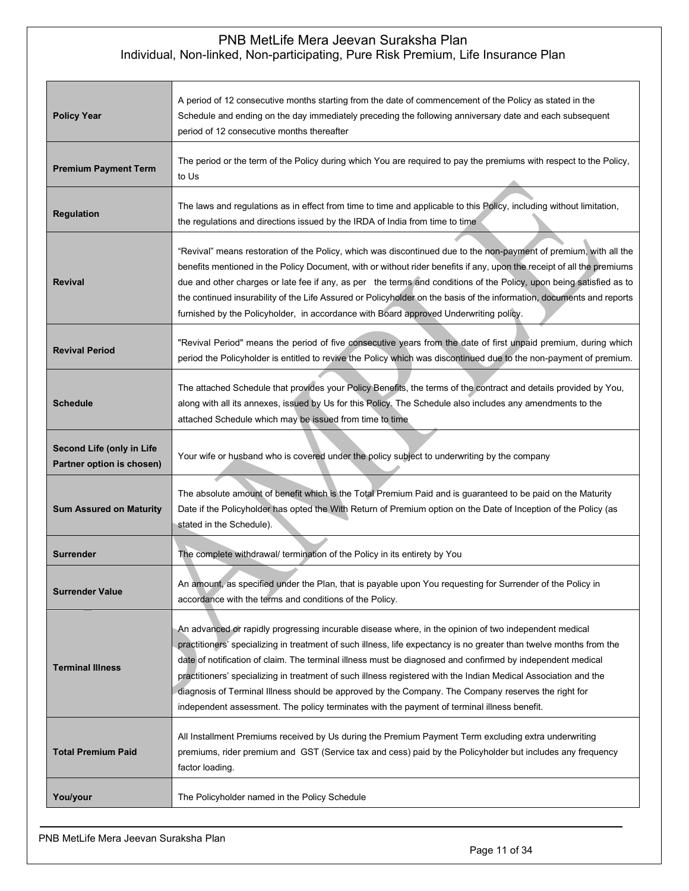| <b>Policy Year</b>                                     | A period of 12 consecutive months starting from the date of commencement of the Policy as stated in the<br>Schedule and ending on the day immediately preceding the following anniversary date and each subsequent<br>period of 12 consecutive months thereafter                                                                                                                                                                                                                                                                                                                                                                                                    |  |
|--------------------------------------------------------|---------------------------------------------------------------------------------------------------------------------------------------------------------------------------------------------------------------------------------------------------------------------------------------------------------------------------------------------------------------------------------------------------------------------------------------------------------------------------------------------------------------------------------------------------------------------------------------------------------------------------------------------------------------------|--|
| <b>Premium Payment Term</b>                            | The period or the term of the Policy during which You are required to pay the premiums with respect to the Policy,<br>to Us                                                                                                                                                                                                                                                                                                                                                                                                                                                                                                                                         |  |
| <b>Regulation</b>                                      | The laws and regulations as in effect from time to time and applicable to this Policy, including without limitation,<br>the regulations and directions issued by the IRDA of India from time to time                                                                                                                                                                                                                                                                                                                                                                                                                                                                |  |
| <b>Revival</b>                                         | "Revival" means restoration of the Policy, which was discontinued due to the non-payment of premium, with all the<br>benefits mentioned in the Policy Document, with or without rider benefits if any, upon the receipt of all the premiums<br>due and other charges or late fee if any, as per the terms and conditions of the Policy, upon being satisfied as to<br>the continued insurability of the Life Assured or Policyholder on the basis of the information, documents and reports<br>furnished by the Policyholder, in accordance with Board approved Underwriting policy.                                                                                |  |
| <b>Revival Period</b>                                  | "Revival Period" means the period of five consecutive years from the date of first unpaid premium, during which<br>period the Policyholder is entitled to revive the Policy which was discontinued due to the non-payment of premium.                                                                                                                                                                                                                                                                                                                                                                                                                               |  |
| <b>Schedule</b>                                        | The attached Schedule that provides your Policy Benefits, the terms of the contract and details provided by You,<br>along with all its annexes, issued by Us for this Policy. The Schedule also includes any amendments to the<br>attached Schedule which may be issued from time to time                                                                                                                                                                                                                                                                                                                                                                           |  |
| Second Life (only in Life<br>Partner option is chosen) | Your wife or husband who is covered under the policy subject to underwriting by the company                                                                                                                                                                                                                                                                                                                                                                                                                                                                                                                                                                         |  |
| <b>Sum Assured on Maturity</b>                         | The absolute amount of benefit which is the Total Premium Paid and is guaranteed to be paid on the Maturity<br>Date if the Policyholder has opted the With Return of Premium option on the Date of Inception of the Policy (as<br>stated in the Schedule).                                                                                                                                                                                                                                                                                                                                                                                                          |  |
| Surrender                                              | The complete withdrawal/ termination of the Policy in its entirety by You                                                                                                                                                                                                                                                                                                                                                                                                                                                                                                                                                                                           |  |
| <b>Surrender Value</b>                                 | An amount, as specified under the Plan, that is payable upon You requesting for Surrender of the Policy in<br>accordance with the terms and conditions of the Policy.                                                                                                                                                                                                                                                                                                                                                                                                                                                                                               |  |
| <b>Terminal Illness</b>                                | An advanced or rapidly progressing incurable disease where, in the opinion of two independent medical<br>practitioners' specializing in treatment of such illness, life expectancy is no greater than twelve months from the<br>date of notification of claim. The terminal illness must be diagnosed and confirmed by independent medical<br>practitioners' specializing in treatment of such illness registered with the Indian Medical Association and the<br>diagnosis of Terminal Illness should be approved by the Company. The Company reserves the right for<br>independent assessment. The policy terminates with the payment of terminal illness benefit. |  |
| <b>Total Premium Paid</b>                              | All Installment Premiums received by Us during the Premium Payment Term excluding extra underwriting<br>premiums, rider premium and GST (Service tax and cess) paid by the Policyholder but includes any frequency<br>factor loading.                                                                                                                                                                                                                                                                                                                                                                                                                               |  |
| You/your                                               | The Policyholder named in the Policy Schedule                                                                                                                                                                                                                                                                                                                                                                                                                                                                                                                                                                                                                       |  |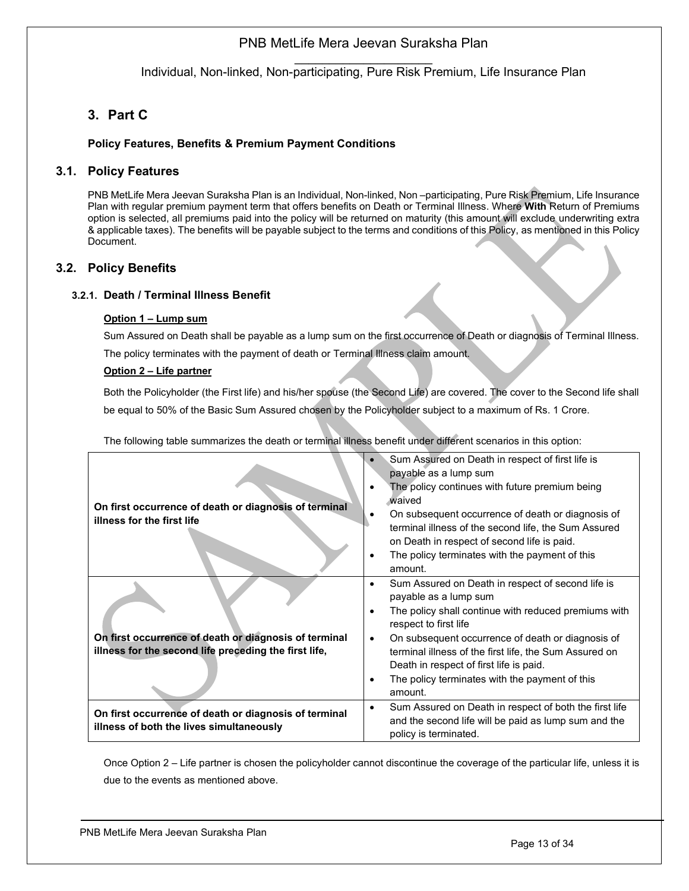$\mathcal{L}=\mathcal{L}^{\mathcal{L}}$ Individual, Non-linked, Non-participating, Pure Risk Premium, Life Insurance Plan

# <span id="page-12-0"></span>**3. Part C**

## <span id="page-12-1"></span>**Policy Features, Benefits & Premium Payment Conditions**

# **3.1. Policy Features**

PNB MetLife Mera Jeevan Suraksha Plan is an Individual, Non-linked, Non –participating, Pure Risk Premium, Life Insurance Plan with regular premium payment term that offers benefits on Death or Terminal Illness. Where **With** Return of Premiums option is selected, all premiums paid into the policy will be returned on maturity (this amount will exclude underwriting extra & applicable taxes). The benefits will be payable subject to the terms and conditions of this Policy, as mentioned in this Policy Document.

## <span id="page-12-2"></span>**3.2. Policy Benefits**

### <span id="page-12-3"></span>**3.2.1. Death / Terminal Illness Benefit**

### **Option 1 – Lump sum**

Sum Assured on Death shall be payable as a lump sum on the first occurrence of Death or diagnosis of Terminal Illness. The policy terminates with the payment of death or Terminal Illness claim amount.

### **Option 2 – Life partner**

Both the Policyholder (the First life) and his/her spouse (the Second Life) are covered. The cover to the Second life shall be equal to 50% of the Basic Sum Assured chosen by the Policyholder subject to a maximum of Rs. 1 Crore.

The following table summarizes the death or terminal illness benefit under different scenarios in this option:

|                                                                                                   | Sum Assured on Death in respect of first life is<br>payable as a lump sum                                                                                     |
|---------------------------------------------------------------------------------------------------|---------------------------------------------------------------------------------------------------------------------------------------------------------------|
| On first occurrence of death or diagnosis of terminal<br>illness for the first life               | The policy continues with future premium being<br>waived                                                                                                      |
|                                                                                                   | On subsequent occurrence of death or diagnosis of<br>٠<br>terminal illness of the second life, the Sum Assured<br>on Death in respect of second life is paid. |
|                                                                                                   | The policy terminates with the payment of this<br>$\bullet$<br>amount.                                                                                        |
|                                                                                                   | Sum Assured on Death in respect of second life is<br>$\bullet$<br>payable as a lump sum                                                                       |
|                                                                                                   | The policy shall continue with reduced premiums with<br>$\bullet$<br>respect to first life                                                                    |
| On first occurrence of death or diagnosis of terminal                                             | On subsequent occurrence of death or diagnosis of<br>$\bullet$                                                                                                |
| illness for the second life preceding the first life,                                             | terminal illness of the first life, the Sum Assured on                                                                                                        |
|                                                                                                   | Death in respect of first life is paid.                                                                                                                       |
|                                                                                                   | The policy terminates with the payment of this<br>٠<br>amount.                                                                                                |
| On first occurrence of death or diagnosis of terminal<br>illness of both the lives simultaneously | Sum Assured on Death in respect of both the first life<br>$\bullet$<br>and the second life will be paid as lump sum and the<br>policy is terminated.          |

Once Option 2 – Life partner is chosen the policyholder cannot discontinue the coverage of the particular life, unless it is due to the events as mentioned above.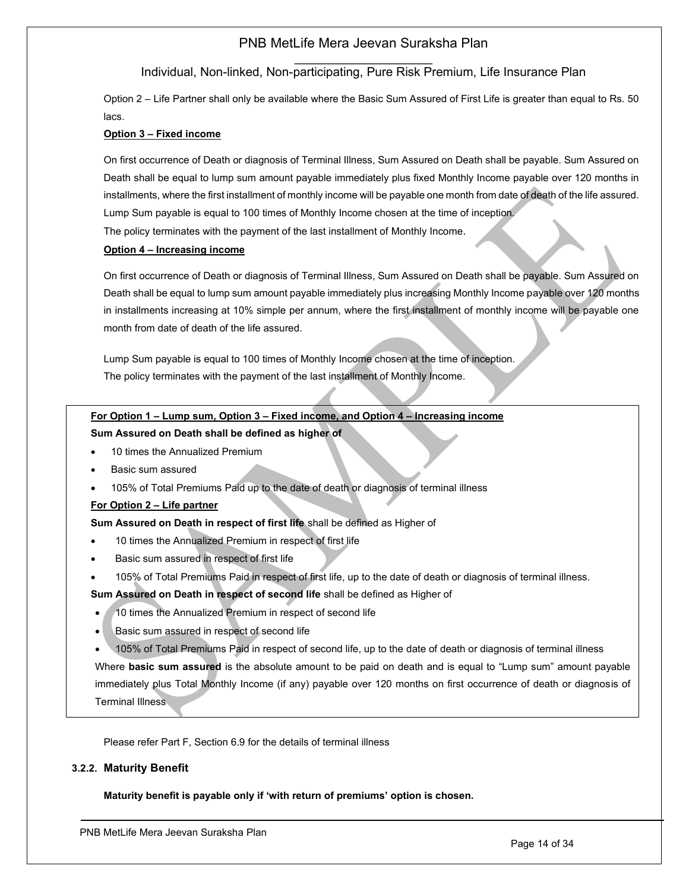### $\mathcal{L}=\mathcal{L}^{\mathcal{L}}$ Individual, Non-linked, Non-participating, Pure Risk Premium, Life Insurance Plan

Option 2 – Life Partner shall only be available where the Basic Sum Assured of First Life is greater than equal to Rs. 50 lacs.

### **Option 3 – Fixed income**

On first occurrence of Death or diagnosis of Terminal Illness, Sum Assured on Death shall be payable. Sum Assured on Death shall be equal to lump sum amount payable immediately plus fixed Monthly Income payable over 120 months in installments, where the first installment of monthly income will be payable one month from date of death of the life assured. Lump Sum payable is equal to 100 times of Monthly Income chosen at the time of inception.

The policy terminates with the payment of the last installment of Monthly Income.

### **Option 4 – Increasing income**

On first occurrence of Death or diagnosis of Terminal Illness, Sum Assured on Death shall be payable. Sum Assured on Death shall be equal to lump sum amount payable immediately plus increasing Monthly Income payable over 120 months in installments increasing at 10% simple per annum, where the first installment of monthly income will be payable one month from date of death of the life assured.

Lump Sum payable is equal to 100 times of Monthly Income chosen at the time of inception. The policy terminates with the payment of the last installment of Monthly Income.

### **For Option 1 – Lump sum, Option 3 – Fixed income, and Option 4 – Increasing income**

### **Sum Assured on Death shall be defined as higher of**

- 10 times the Annualized Premium
- Basic sum assured
- 105% of Total Premiums Paid up to the date of death or diagnosis of terminal illness

### **For Option 2 – Life partner**

### **Sum Assured on Death in respect of first life** shall be defined as Higher of

- 10 times the Annualized Premium in respect of first life
- Basic sum assured in respect of first life
- 105% of Total Premiums Paid in respect of first life, up to the date of death or diagnosis of terminal illness.

**Sum Assured on Death in respect of second life** shall be defined as Higher of

- 10 times the Annualized Premium in respect of second life
- Basic sum assured in respect of second life
- 105% of Total Premiums Paid in respect of second life, up to the date of death or diagnosis of terminal illness

Where **basic sum assured** is the absolute amount to be paid on death and is equal to "Lump sum" amount payable immediately plus Total Monthly Income (if any) payable over 120 months on first occurrence of death or diagnosis of Terminal Illness

Please refer Part F, Section 6.9 for the details of terminal illness

### <span id="page-13-0"></span>**3.2.2. Maturity Benefit**

**Maturity benefit is payable only if 'with return of premiums' option is chosen.**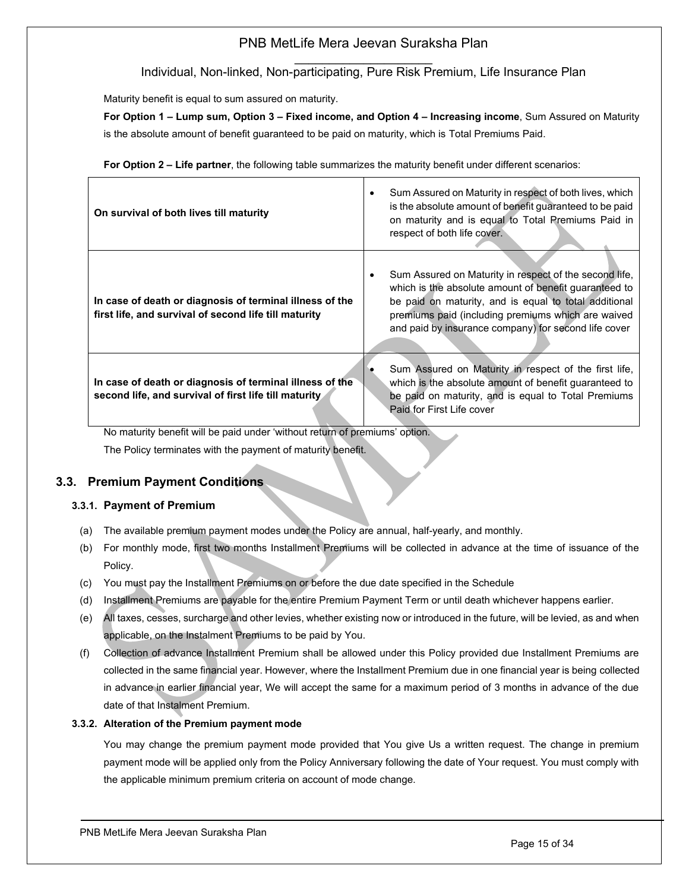$\mathcal{L}=\mathcal{L}^{\mathcal{L}}$ Individual, Non-linked, Non-participating, Pure Risk Premium, Life Insurance Plan

Maturity benefit is equal to sum assured on maturity.

**For Option 1 – Lump sum, Option 3 – Fixed income, and Option 4 – Increasing income**, Sum Assured on Maturity is the absolute amount of benefit guaranteed to be paid on maturity, which is Total Premiums Paid.

**For Option 2 – Life partner**, the following table summarizes the maturity benefit under different scenarios:

| On survival of both lives till maturity                                                                           | Sum Assured on Maturity in respect of both lives, which<br>$\bullet$<br>is the absolute amount of benefit guaranteed to be paid<br>on maturity and is equal to Total Premiums Paid in<br>respect of both life cover.                                                                        |
|-------------------------------------------------------------------------------------------------------------------|---------------------------------------------------------------------------------------------------------------------------------------------------------------------------------------------------------------------------------------------------------------------------------------------|
| In case of death or diagnosis of terminal illness of the<br>first life, and survival of second life till maturity | Sum Assured on Maturity in respect of the second life,<br>٠<br>which is the absolute amount of benefit guaranteed to<br>be paid on maturity, and is equal to total additional<br>premiums paid (including premiums which are waived<br>and paid by insurance company) for second life cover |
| In case of death or diagnosis of terminal illness of the<br>second life, and survival of first life till maturity | Sum Assured on Maturity in respect of the first life,<br>which is the absolute amount of benefit guaranteed to<br>be paid on maturity, and is equal to Total Premiums<br>Paid for First Life cover                                                                                          |

No maturity benefit will be paid under 'without return of premiums' option. The Policy terminates with the payment of maturity benefit.

# <span id="page-14-0"></span>**3.3. Premium Payment Conditions**

## <span id="page-14-1"></span>**3.3.1. Payment of Premium**

- (a) The available premium payment modes under the Policy are annual, half-yearly, and monthly.
- (b) For monthly mode, first two months Installment Premiums will be collected in advance at the time of issuance of the Policy.
- (c) You must pay the Installment Premiums on or before the due date specified in the Schedule
- (d) Installment Premiums are payable for the entire Premium Payment Term or until death whichever happens earlier.
- (e) All taxes, cesses, surcharge and other levies, whether existing now or introduced in the future, will be levied, as and when applicable, on the Instalment Premiums to be paid by You.
- (f) Collection of advance Installment Premium shall be allowed under this Policy provided due Installment Premiums are collected in the same financial year. However, where the Installment Premium due in one financial year is being collected in advance in earlier financial year, We will accept the same for a maximum period of 3 months in advance of the due date of that Instalment Premium.

### <span id="page-14-2"></span>**3.3.2. Alteration of the Premium payment mode**

You may change the premium payment mode provided that You give Us a written request. The change in premium payment mode will be applied only from the Policy Anniversary following the date of Your request. You must comply with the applicable minimum premium criteria on account of mode change.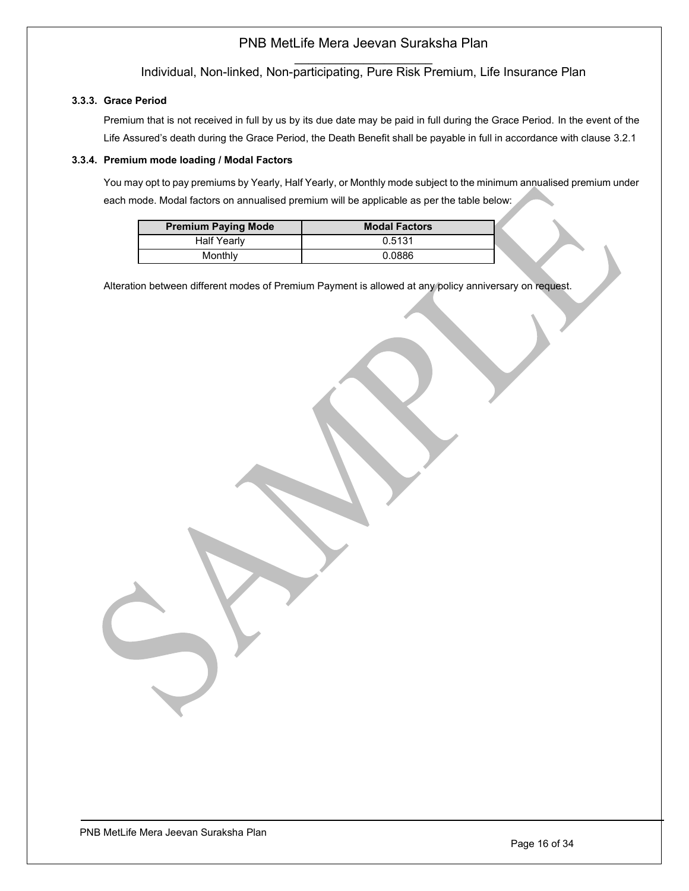$\mathcal{L}=\mathcal{L}^{\mathcal{L}}$ Individual, Non-linked, Non-participating, Pure Risk Premium, Life Insurance Plan

## <span id="page-15-0"></span>**3.3.3. Grace Period**

Premium that is not received in full by us by its due date may be paid in full during the Grace Period. In the event of the Life Assured's death during the Grace Period, the Death Benefit shall be payable in full in accordance with clause 3.2.1

### <span id="page-15-1"></span>**3.3.4. Premium mode loading / Modal Factors**

You may opt to pay premiums by Yearly, Half Yearly, or Monthly mode subject to the minimum annualised premium under each mode. Modal factors on annualised premium will be applicable as per the table below:

| <b>Premium Paying Mode</b> | <b>Modal Factors</b> |
|----------------------------|----------------------|
| <b>Half Yearly</b>         | 0.5131               |
| Monthly                    | 0.0886               |

Alteration between different modes of Premium Payment is allowed at any policy anniversary on request.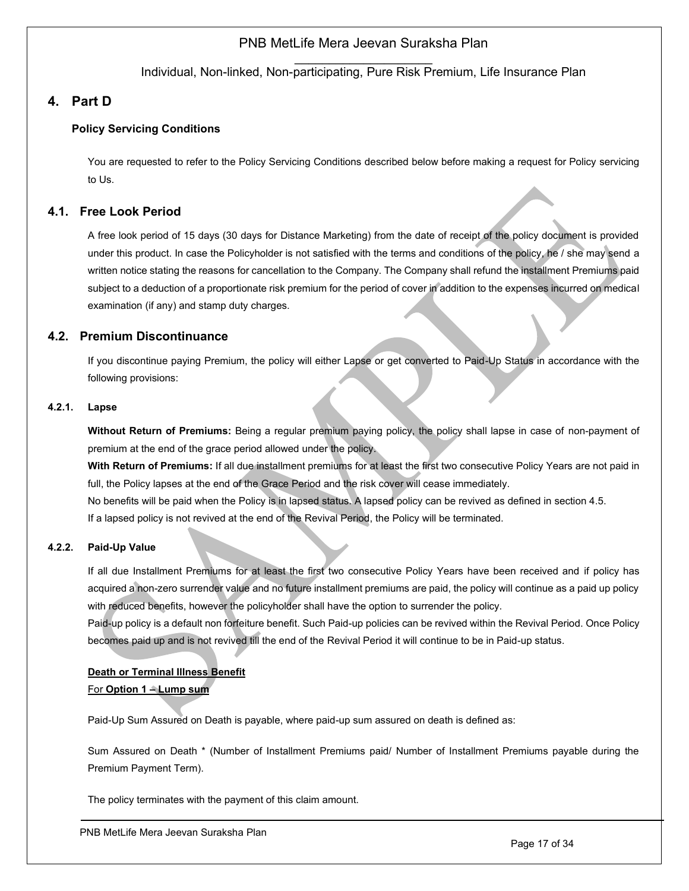$\mathcal{L}=\mathcal{L}^{\mathcal{L}}$ Individual, Non-linked, Non-participating, Pure Risk Premium, Life Insurance Plan

# <span id="page-16-0"></span>**4. Part D**

## <span id="page-16-1"></span>**Policy Servicing Conditions**

You are requested to refer to the Policy Servicing Conditions described below before making a request for Policy servicing to Us.

## <span id="page-16-2"></span>**4.1. Free Look Period**

A free look period of 15 days (30 days for Distance Marketing) from the date of receipt of the policy document is provided under this product. In case the Policyholder is not satisfied with the terms and conditions of the policy, he / she may send a written notice stating the reasons for cancellation to the Company. The Company shall refund the installment Premiums paid subject to a deduction of a proportionate risk premium for the period of cover in addition to the expenses incurred on medical examination (if any) and stamp duty charges.

## **4.2. Premium Discontinuance**

<span id="page-16-3"></span>If you discontinue paying Premium, the policy will either Lapse or get converted to Paid-Up Status in accordance with the following provisions:

### **4.2.1. Lapse**

<span id="page-16-4"></span>**Without Return of Premiums:** Being a regular premium paying policy, the policy shall lapse in case of non-payment of premium at the end of the grace period allowed under the policy.

**With Return of Premiums:** If all due installment premiums for at least the first two consecutive Policy Years are not paid in full, the Policy lapses at the end of the Grace Period and the risk cover will cease immediately.

No benefits will be paid when the Policy is in lapsed status. A lapsed policy can be revived as defined in section 4.5.

If a lapsed policy is not revived at the end of the Revival Period, the Policy will be terminated.

### **4.2.2. Paid-Up Value**

<span id="page-16-5"></span>If all due Installment Premiums for at least the first two consecutive Policy Years have been received and if policy has acquired a non-zero surrender value and no future installment premiums are paid, the policy will continue as a paid up policy with reduced benefits, however the policyholder shall have the option to surrender the policy.

Paid-up policy is a default non forfeiture benefit. Such Paid-up policies can be revived within the Revival Period. Once Policy becomes paid up and is not revived till the end of the Revival Period it will continue to be in Paid-up status.

# **Death or Terminal Illness Benefit** For **Option 1 – Lump sum**

Paid-Up Sum Assured on Death is payable, where paid-up sum assured on death is defined as:

Sum Assured on Death \* (Number of Installment Premiums paid/ Number of Installment Premiums payable during the Premium Payment Term).

The policy terminates with the payment of this claim amount.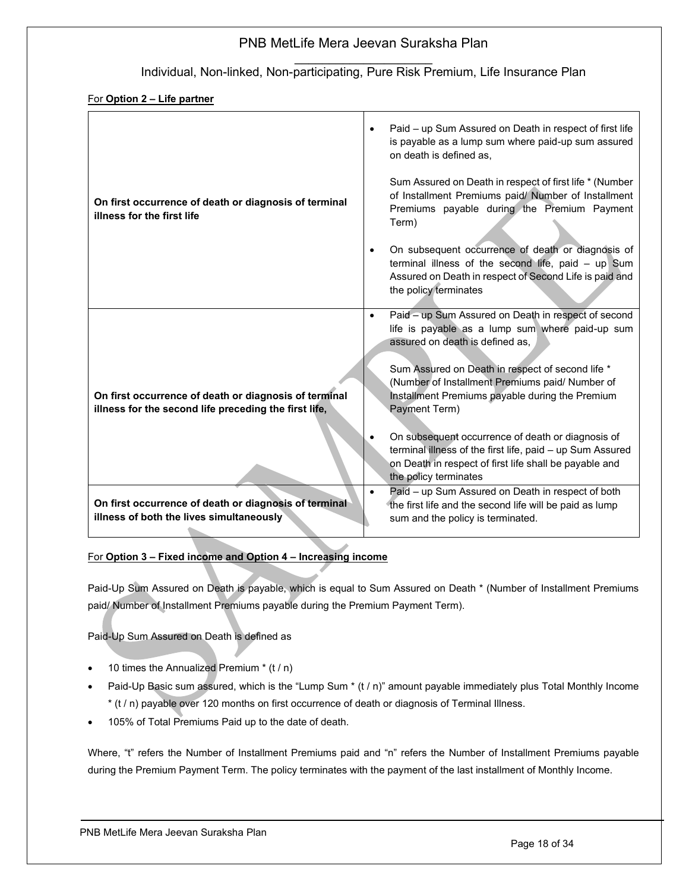## $\mathcal{L}=\mathcal{L}^{\mathcal{L}}$ Individual, Non-linked, Non-participating, Pure Risk Premium, Life Insurance Plan

### For **Option 2 – Life partner**

| On first occurrence of death or diagnosis of terminal<br>illness for the first life                            | Paid - up Sum Assured on Death in respect of first life<br>$\bullet$<br>is payable as a lump sum where paid-up sum assured<br>on death is defined as,<br>Sum Assured on Death in respect of first life * (Number<br>of Installment Premiums paid/ Number of Installment<br>Premiums payable during the Premium Payment<br>Term)<br>On subsequent occurrence of death or diagnosis of<br>$\bullet$<br>terminal illness of the second life, paid - up Sum<br>Assured on Death in respect of Second Life is paid and<br>the policy terminates                                                               |
|----------------------------------------------------------------------------------------------------------------|----------------------------------------------------------------------------------------------------------------------------------------------------------------------------------------------------------------------------------------------------------------------------------------------------------------------------------------------------------------------------------------------------------------------------------------------------------------------------------------------------------------------------------------------------------------------------------------------------------|
| On first occurrence of death or diagnosis of terminal<br>illness for the second life preceding the first life, | Paid - up Sum Assured on Death in respect of second<br>$\bullet$<br>life is payable as a lump sum where paid-up sum<br>assured on death is defined as,<br>Sum Assured on Death in respect of second life *<br>(Number of Installment Premiums paid/ Number of<br>Installment Premiums payable during the Premium<br>Payment Term)<br>On subsequent occurrence of death or diagnosis of<br>terminal illness of the first life, paid - up Sum Assured<br>on Death in respect of first life shall be payable and<br>the policy terminates<br>Paid - up Sum Assured on Death in respect of both<br>$\bullet$ |
| On first occurrence of death or diagnosis of terminal<br>illness of both the lives simultaneously              | the first life and the second life will be paid as lump<br>sum and the policy is terminated.                                                                                                                                                                                                                                                                                                                                                                                                                                                                                                             |

## For **Option 3 – Fixed income and Option 4 – Increasing income**

Paid-Up Sum Assured on Death is payable, which is equal to Sum Assured on Death \* (Number of Installment Premiums paid/ Number of Installment Premiums payable during the Premium Payment Term).

Paid-Up Sum Assured on Death is defined as

- 10 times the Annualized Premium \* (t / n)
- Paid-Up Basic sum assured, which is the "Lump Sum \* (t / n)" amount payable immediately plus Total Monthly Income \* (t / n) payable over 120 months on first occurrence of death or diagnosis of Terminal Illness.
- 105% of Total Premiums Paid up to the date of death.

Where, "t" refers the Number of Installment Premiums paid and "n" refers the Number of Installment Premiums payable during the Premium Payment Term. The policy terminates with the payment of the last installment of Monthly Income.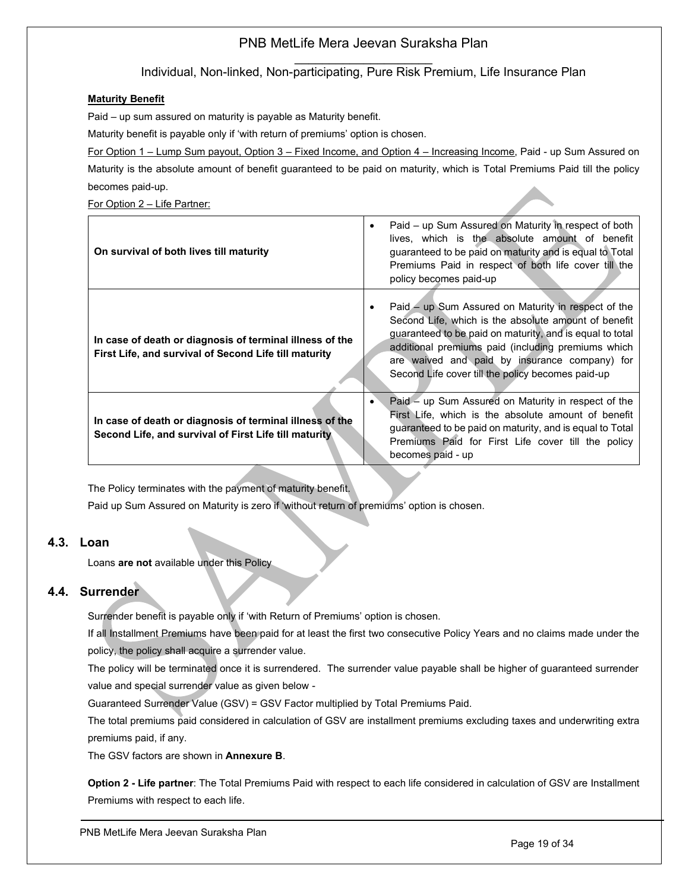## $\mathcal{L}=\mathcal{L}^{\mathcal{L}}$ Individual, Non-linked, Non-participating, Pure Risk Premium, Life Insurance Plan

### **Maturity Benefit**

Paid – up sum assured on maturity is payable as Maturity benefit.

Maturity benefit is payable only if 'with return of premiums' option is chosen.

For Option 1 – Lump Sum payout, Option 3 – Fixed Income, and Option 4 – Increasing Income, Paid - up Sum Assured on Maturity is the absolute amount of benefit guaranteed to be paid on maturity, which is Total Premiums Paid till the policy becomes paid-up.

For Option 2 – Life Partner:

| On survival of both lives till maturity                                                                           | Paid – up Sum Assured on Maturity in respect of both<br>$\bullet$<br>lives, which is the absolute amount of benefit<br>guaranteed to be paid on maturity and is equal to Total<br>Premiums Paid in respect of both life cover till the<br>policy becomes paid-up                                                                    |
|-------------------------------------------------------------------------------------------------------------------|-------------------------------------------------------------------------------------------------------------------------------------------------------------------------------------------------------------------------------------------------------------------------------------------------------------------------------------|
| In case of death or diagnosis of terminal illness of the<br>First Life, and survival of Second Life till maturity | Paid – up Sum Assured on Maturity in respect of the<br>Second Life, which is the absolute amount of benefit<br>guaranteed to be paid on maturity, and is equal to total<br>additional premiums paid (including premiums which<br>are waived and paid by insurance company) for<br>Second Life cover till the policy becomes paid-up |
| In case of death or diagnosis of terminal illness of the<br>Second Life, and survival of First Life till maturity | Paid - up Sum Assured on Maturity in respect of the<br>First Life, which is the absolute amount of benefit<br>guaranteed to be paid on maturity, and is equal to Total<br>Premiums Paid for First Life cover till the policy<br>becomes paid - up                                                                                   |

The Policy terminates with the payment of maturity benefit.

Paid up Sum Assured on Maturity is zero if 'without return of premiums' option is chosen.

# **4.3. Loan**

<span id="page-18-0"></span>Loans **are not** available under this Policy

# **4.4. Surrender**

<span id="page-18-1"></span>Surrender benefit is payable only if 'with Return of Premiums' option is chosen.

If all Installment Premiums have been paid for at least the first two consecutive Policy Years and no claims made under the policy, the policy shall acquire a surrender value.

The policy will be terminated once it is surrendered. The surrender value payable shall be higher of guaranteed surrender value and special surrender value as given below -

Guaranteed Surrender Value (GSV) = GSV Factor multiplied by Total Premiums Paid.

The total premiums paid considered in calculation of GSV are installment premiums excluding taxes and underwriting extra premiums paid, if any.

The GSV factors are shown in **Annexure B**.

**Option 2 - Life partner**: The Total Premiums Paid with respect to each life considered in calculation of GSV are Installment Premiums with respect to each life.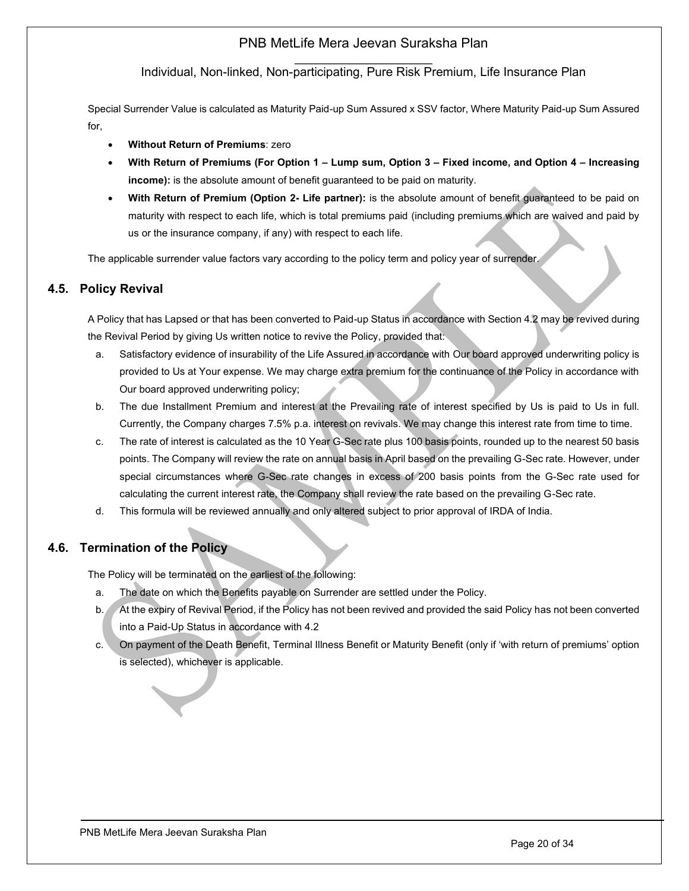$\mathcal{L}=\mathcal{L}^{\mathcal{L}}$ Individual, Non-linked, Non-participating, Pure Risk Premium, Life Insurance Plan

Special Surrender Value is calculated as Maturity Paid-up Sum Assured x SSV factor, Where Maturity Paid-up Sum Assured for,

- **Without Return of Premiums**: zero
- **With Return of Premiums (For Option 1 – Lump sum, Option 3 – Fixed income, and Option 4 – Increasing income):** is the absolute amount of benefit guaranteed to be paid on maturity.
- **With Return of Premium (Option 2- Life partner):** is the absolute amount of benefit guaranteed to be paid on maturity with respect to each life, which is total premiums paid (including premiums which are waived and paid by us or the insurance company, if any) with respect to each life.

The applicable surrender value factors vary according to the policy term and policy year of surrender.

## <span id="page-19-0"></span>**4.5. Policy Revival**

A Policy that has Lapsed or that has been converted to Paid-up Status in accordance with Section 4.2 may be revived during the Revival Period by giving Us written notice to revive the Policy, provided that:

- a. Satisfactory evidence of insurability of the Life Assured in accordance with Our board approved underwriting policy is provided to Us at Your expense. We may charge extra premium for the continuance of the Policy in accordance with Our board approved underwriting policy;
- b. The due Installment Premium and interest at the Prevailing rate of interest specified by Us is paid to Us in full. Currently, the Company charges 7.5% p.a. interest on revivals. We may change this interest rate from time to time.
- c. The rate of interest is calculated as the 10 Year G-Sec rate plus 100 basis points, rounded up to the nearest 50 basis points. The Company will review the rate on annual basis in April based on the prevailing G-Sec rate. However, under special circumstances where G-Sec rate changes in excess of 200 basis points from the G-Sec rate used for calculating the current interest rate, the Company shall review the rate based on the prevailing G-Sec rate.
- d. This formula will be reviewed annually and only altered subject to prior approval of IRDA of India.

# **4.6. Termination of the Policy**

<span id="page-19-1"></span>The Policy will be terminated on the earliest of the following:

- a. The date on which the Benefits payable on Surrender are settled under the Policy.
- b. At the expiry of Revival Period, if the Policy has not been revived and provided the said Policy has not been converted into a Paid-Up Status in accordance with 4.2
- c. On payment of the Death Benefit, Terminal Illness Benefit or Maturity Benefit (only if 'with return of premiums' option is selected), whichever is applicable.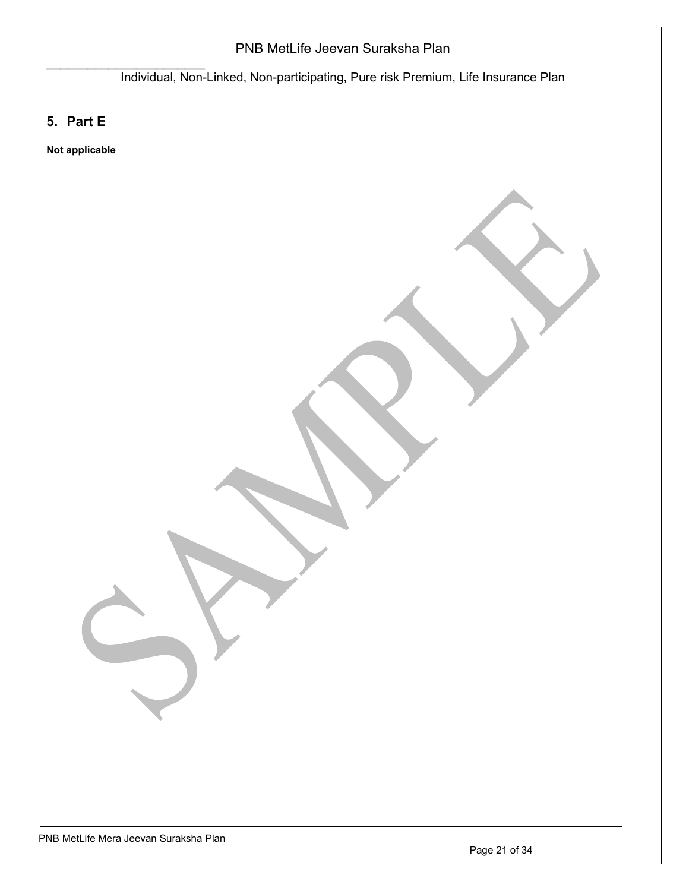Individual, Non-Linked, Non-participating, Pure risk Premium, Life Insurance Plan

<span id="page-20-0"></span>**5. Part E**

 $\mathcal{L}_\text{max}$  , where  $\mathcal{L}_\text{max}$  is the set of the set of the set of the set of the set of the set of the set of the set of the set of the set of the set of the set of the set of the set of the set of the set of the se

**Not applicable**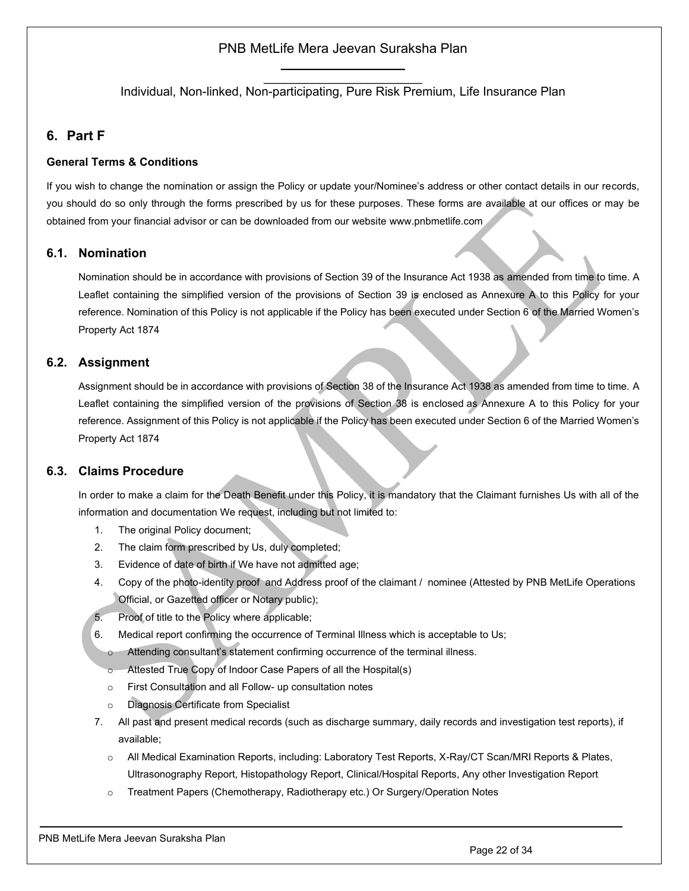$\mathcal{L}_\text{max}$  , where  $\mathcal{L}_\text{max}$  is the set of the set of the set of the set of the set of the set of the set of the set of the set of the set of the set of the set of the set of the set of the set of the set of the se Individual, Non-linked, Non-participating, Pure Risk Premium, Life Insurance Plan

# <span id="page-21-0"></span>**6. Part F**

### **General Terms & Conditions**

If you wish to change the nomination or assign the Policy or update your/Nominee's address or other contact details in our records, you should do so only through the forms prescribed by us for these purposes. These forms are available at our offices or may be obtained from your financial advisor or can be downloaded from our website [www.pnbmetlife.com](http://www.pnbmetlife.com/)

## <span id="page-21-1"></span>**6.1. Nomination**

Nomination should be in accordance with provisions of Section 39 of the Insurance Act 1938 as amended from time to time. A Leaflet containing the simplified version of the provisions of Section 39 is enclosed as Annexure A to this Policy for your reference. Nomination of this Policy is not applicable if the Policy has been executed under Section 6 of the Married Women's Property Act 1874

## <span id="page-21-2"></span>**6.2. Assignment**

Assignment should be in accordance with provisions of Section 38 of the Insurance Act 1938 as amended from time to time. A Leaflet containing the simplified version of the provisions of Section 38 is enclosed as Annexure A to this Policy for your reference. Assignment of this Policy is not applicable if the Policy has been executed under Section 6 of the Married Women's Property Act 1874

## <span id="page-21-3"></span>**6.3. Claims Procedure**

In order to make a claim for the Death Benefit under this Policy, it is mandatory that the Claimant furnishes Us with all of the information and documentation We request, including but not limited to:

- 1. The original Policy document;
- 2. The claim form prescribed by Us, duly completed;
- 3. Evidence of date of birth if We have not admitted age;
- 4. Copy of the photo-identity proof and Address proof of the claimant / nominee (Attested by PNB MetLife Operations Official, or Gazetted officer or Notary public);
- 5. Proof of title to the Policy where applicable;
- 6. Medical report confirming the occurrence of Terminal Illness which is acceptable to Us;
	- o Attending consultant's statement confirming occurrence of the terminal illness.
	- o Attested True Copy of Indoor Case Papers of all the Hospital(s)
	- o First Consultation and all Follow- up consultation notes
	- o Diagnosis Certificate from Specialist
- 7. All past and present medical records (such as discharge summary, daily records and investigation test reports), if available;
	- All Medical Examination Reports, including: Laboratory Test Reports, X-Ray/CT Scan/MRI Reports & Plates, Ultrasonography Report, Histopathology Report, Clinical/Hospital Reports, Any other Investigation Report
	- o Treatment Papers (Chemotherapy, Radiotherapy etc.) Or Surgery/Operation Notes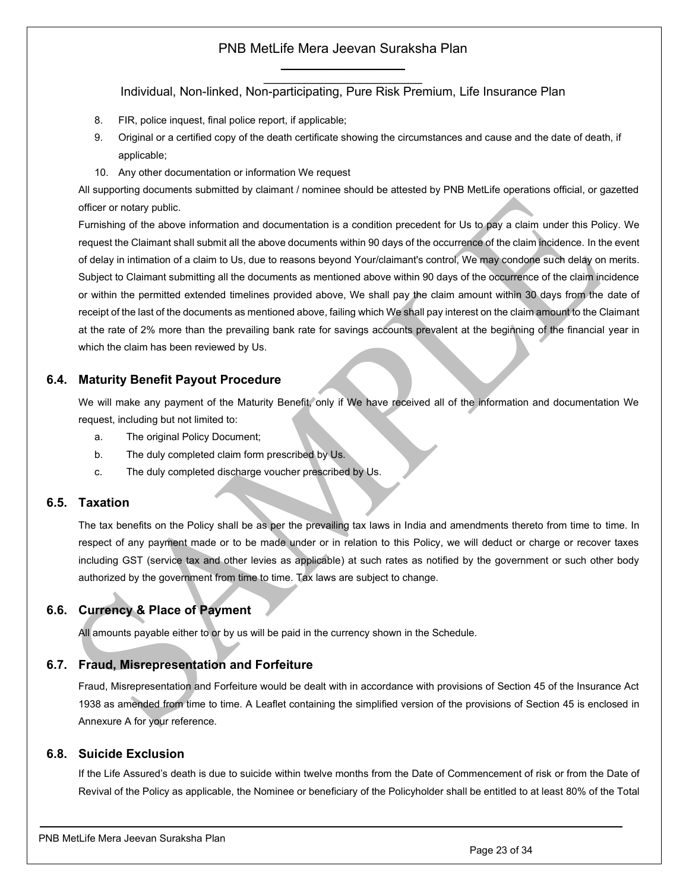$\mathcal{L}_\text{max}$  , where  $\mathcal{L}_\text{max}$  is the set of the set of the set of the set of the set of the set of the set of the set of the set of the set of the set of the set of the set of the set of the set of the set of the se Individual, Non-linked, Non-participating, Pure Risk Premium, Life Insurance Plan

- 8. FIR, police inquest, final police report, if applicable;
- 9. Original or a certified copy of the death certificate showing the circumstances and cause and the date of death, if applicable;
- 10. Any other documentation or information We request

All supporting documents submitted by claimant / nominee should be attested by PNB MetLife operations official, or gazetted officer or notary public.

Furnishing of the above information and documentation is a condition precedent for Us to pay a claim under this Policy. We request the Claimant shall submit all the above documents within 90 days of the occurrence of the claim incidence. In the event of delay in intimation of a claim to Us, due to reasons beyond Your/claimant's control, We may condone such delay on merits. Subject to Claimant submitting all the documents as mentioned above within 90 days of the occurrence of the claim incidence or within the permitted extended timelines provided above, We shall pay the claim amount within 30 days from the date of receipt of the last of the documents as mentioned above, failing which We shall pay interest on the claim amount to the Claimant at the rate of 2% more than the prevailing bank rate for savings accounts prevalent at the beginning of the financial year in which the claim has been reviewed by Us.

## <span id="page-22-0"></span>**6.4. Maturity Benefit Payout Procedure**

We will make any payment of the Maturity Benefit, only if We have received all of the information and documentation We request, including but not limited to:

- a. The original Policy Document;
- b. The duly completed claim form prescribed by Us.
- c. The duly completed discharge voucher prescribed by Us.

### <span id="page-22-1"></span>**6.5. Taxation**

The tax benefits on the Policy shall be as per the prevailing tax laws in India and amendments thereto from time to time. In respect of any payment made or to be made under or in relation to this Policy, we will deduct or charge or recover taxes including GST (service tax and other levies as applicable) at such rates as notified by the government or such other body authorized by the government from time to time. Tax laws are subject to change.

# <span id="page-22-2"></span>**6.6. Currency & Place of Payment**

All amounts payable either to or by us will be paid in the currency shown in the Schedule.

## <span id="page-22-3"></span>**6.7. Fraud, Misrepresentation and Forfeiture**

Fraud, Misrepresentation and Forfeiture would be dealt with in accordance with provisions of Section 45 of the Insurance Act 1938 as amended from time to time. A Leaflet containing the simplified version of the provisions of Section 45 is enclosed in Annexure A for your reference.

## <span id="page-22-4"></span>**6.8. Suicide Exclusion**

If the Life Assured's death is due to suicide within twelve months from the Date of Commencement of risk or from the Date of Revival of the Policy as applicable, the Nominee or beneficiary of the Policyholder shall be entitled to at least 80% of the Total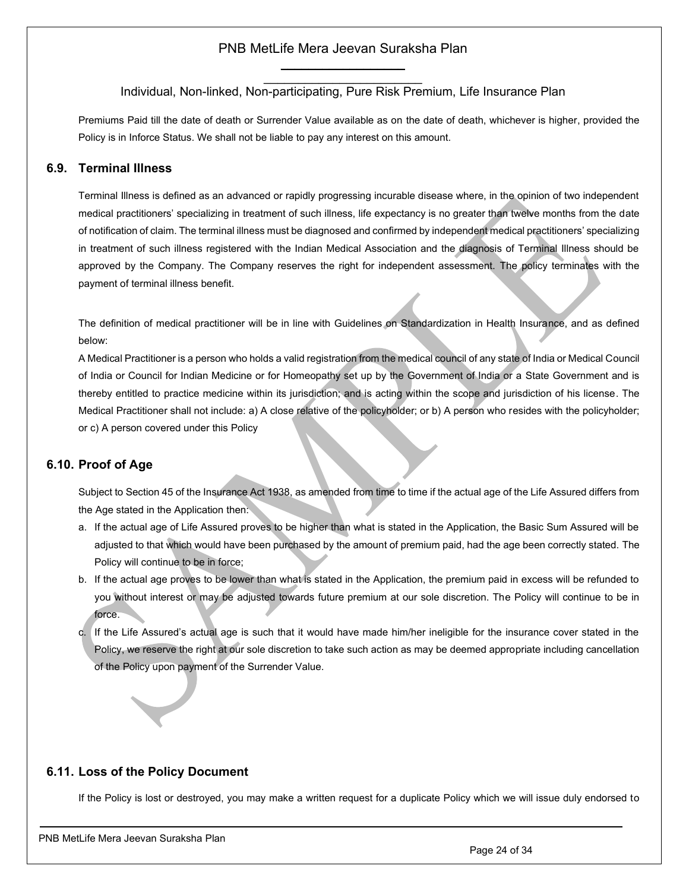### $\mathcal{L}_\text{max}$  , where  $\mathcal{L}_\text{max}$  is the set of the set of the set of the set of the set of the set of the set of the set of the set of the set of the set of the set of the set of the set of the set of the set of the se Individual, Non-linked, Non-participating, Pure Risk Premium, Life Insurance Plan

Premiums Paid till the date of death or Surrender Value available as on the date of death, whichever is higher, provided the Policy is in Inforce Status. We shall not be liable to pay any interest on this amount.

### <span id="page-23-0"></span>**6.9. Terminal Illness**

Terminal Illness is defined as an advanced or rapidly progressing incurable disease where, in the opinion of two independent medical practitioners' specializing in treatment of such illness, life expectancy is no greater than twelve months from the date of notification of claim. The terminal illness must be diagnosed and confirmed by independent medical practitioners' specializing in treatment of such illness registered with the Indian Medical Association and the diagnosis of Terminal Illness should be approved by the Company. The Company reserves the right for independent assessment. The policy terminates with the payment of terminal illness benefit.

The definition of medical practitioner will be in line with Guidelines on Standardization in Health Insurance, and as defined below:

A Medical Practitioner is a person who holds a valid registration from the medical council of any state of India or Medical Council of India or Council for Indian Medicine or for Homeopathy set up by the Government of India or a State Government and is thereby entitled to practice medicine within its jurisdiction; and is acting within the scope and jurisdiction of his license. The Medical Practitioner shall not include: a) A close relative of the policyholder; or b) A person who resides with the policyholder; or c) A person covered under this Policy

## <span id="page-23-1"></span>**6.10. Proof of Age**

Subject to Section 45 of the Insurance Act 1938, as amended from time to time if the actual age of the Life Assured differs from the Age stated in the Application then:

- a. If the actual age of Life Assured proves to be higher than what is stated in the Application, the Basic Sum Assured will be adjusted to that which would have been purchased by the amount of premium paid, had the age been correctly stated. The Policy will continue to be in force;
- b. If the actual age proves to be lower than what is stated in the Application, the premium paid in excess will be refunded to you without interest or may be adjusted towards future premium at our sole discretion. The Policy will continue to be in force.
- c. If the Life Assured's actual age is such that it would have made him/her ineligible for the insurance cover stated in the Policy, we reserve the right at our sole discretion to take such action as may be deemed appropriate including cancellation of the Policy upon payment of the Surrender Value.

### <span id="page-23-2"></span>**6.11. Loss of the Policy Document**

If the Policy is lost or destroyed, you may make a written request for a duplicate Policy which we will issue duly endorsed to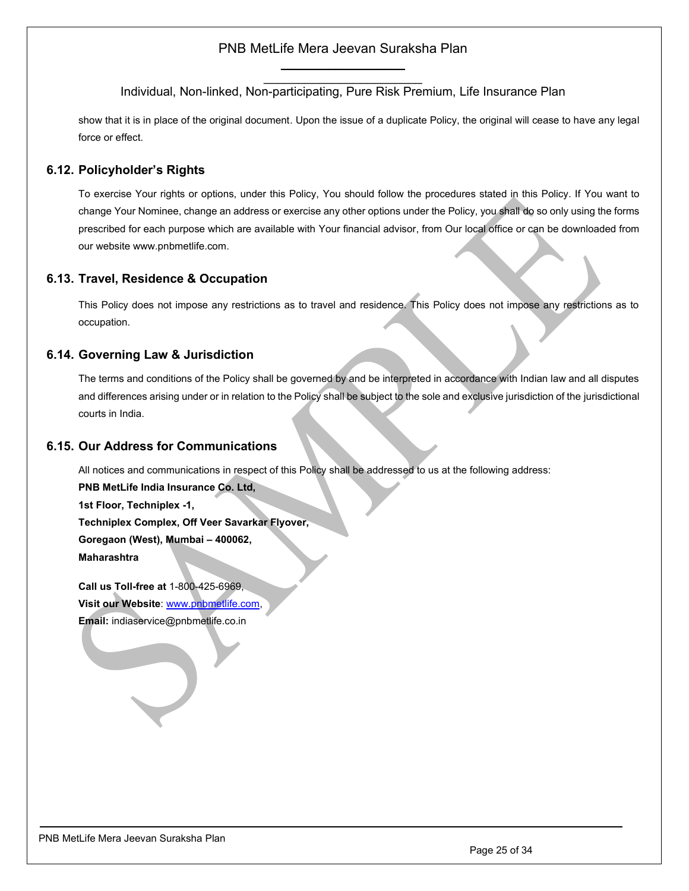$\mathcal{L}_\text{max}$  , where  $\mathcal{L}_\text{max}$  is the set of the set of the set of the set of the set of the set of the set of the set of the set of the set of the set of the set of the set of the set of the set of the set of the se Individual, Non-linked, Non-participating, Pure Risk Premium, Life Insurance Plan

show that it is in place of the original document. Upon the issue of a duplicate Policy, the original will cease to have any legal force or effect.

## <span id="page-24-0"></span>**6.12. Policyholder's Rights**

To exercise Your rights or options, under this Policy, You should follow the procedures stated in this Policy. If You want to change Your Nominee, change an address or exercise any other options under the Policy, you shall do so only using the forms prescribed for each purpose which are available with Your financial advisor, from Our local office or can be downloaded from our website [www.pnbmetlife.com.](http://www.pnbmetlife.com/) 

### <span id="page-24-1"></span>**6.13. Travel, Residence & Occupation**

This Policy does not impose any restrictions as to travel and residence. This Policy does not impose any restrictions as to occupation.

### <span id="page-24-2"></span>**6.14. Governing Law & Jurisdiction**

The terms and conditions of the Policy shall be governed by and be interpreted in accordance with Indian law and all disputes and differences arising under or in relation to the Policy shall be subject to the sole and exclusive jurisdiction of the jurisdictional courts in India.

### <span id="page-24-3"></span>**6.15. Our Address for Communications**

All notices and communications in respect of this Policy shall be addressed to us at the following address:

**PNB MetLife India Insurance Co. Ltd, 1st Floor, Techniplex -1, Techniplex Complex, Off Veer Savarkar Flyover, Goregaon (West), Mumbai – 400062, Maharashtra**

**Call us Toll-free at** 1-800-425-6969, **Visit our Website**: [www.pnbmetlife.com,](http://www.pnbmetlife.com/) **Email:** indiaservice@pnbmetlife.co.in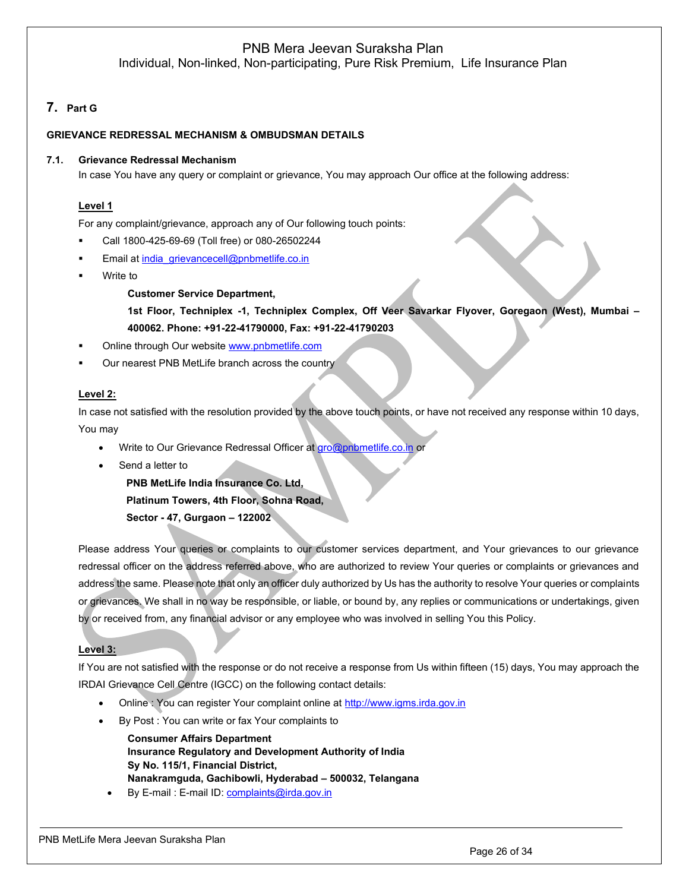## PNB Mera Jeevan Suraksha Plan

Individual, Non-linked, Non-participating, Pure Risk Premium, Life Insurance Plan

# <span id="page-25-0"></span>**7. Part G**

### <span id="page-25-1"></span>**GRIEVANCE REDRESSAL MECHANISM & OMBUDSMAN DETAILS**

#### **7.1. Grievance Redressal Mechanism**

In case You have any query or complaint or grievance, You may approach Our office at the following address:

### **Level 1**

For any complaint/grievance, approach any of Our following touch points:

- Call 1800-425-69-69 (Toll free) or 080-26502244
- Email at [india\\_grievancecell@pnbmetlife.co.in](mailto:india_grievancecell@pnbmetlife.co.in)
- Write to

**Customer Service Department,** 

**1st Floor, Techniplex -1, Techniplex Complex, Off Veer Savarkar Flyover, Goregaon (West), Mumbai – 400062. Phone: +91-22-41790000, Fax: +91-22-41790203**

- Online through Our website [www.pnbmetlife.com](http://www.pnbmetlife.com/)
- Our nearest PNB MetLife branch across the country

#### **Level 2:**

In case not satisfied with the resolution provided by the above touch points, or have not received any response within 10 days, You may

- Write to Our Grievance Redressal Officer at [gro@pnbmetlife.co.in](mailto:gro@pnbmetlife.co.in) or
- Send a letter to

**PNB MetLife India Insurance Co. Ltd,**

**Platinum Towers, 4th Floor, Sohna Road,** 

**Sector - 47, Gurgaon – 122002**

Please address Your queries or complaints to our customer services department, and Your grievances to our grievance redressal officer on the address referred above, who are authorized to review Your queries or complaints or grievances and address the same. Please note that only an officer duly authorized by Us has the authority to resolve Your queries or complaints or grievances. We shall in no way be responsible, or liable, or bound by, any replies or communications or undertakings, given by or received from, any financial advisor or any employee who was involved in selling You this Policy.

### **Level 3:**

If You are not satisfied with the response or do not receive a response from Us within fifteen (15) days, You may approach the IRDAI Grievance Cell Centre (IGCC) on the following contact details:

- Online : You can register Your complaint online at [http://www.igms.irda.gov.in](http://www.igms.irda.gov.in/)
- By Post : You can write or fax Your complaints to

**Consumer Affairs Department Insurance Regulatory and Development Authority of India Sy No. 115/1, Financial District, Nanakramguda, Gachibowli, Hyderabad – 500032, Telangana**

By E-mail : E-mail ID[: complaints@irda.gov.in](mailto:complaints@irda.gov.in)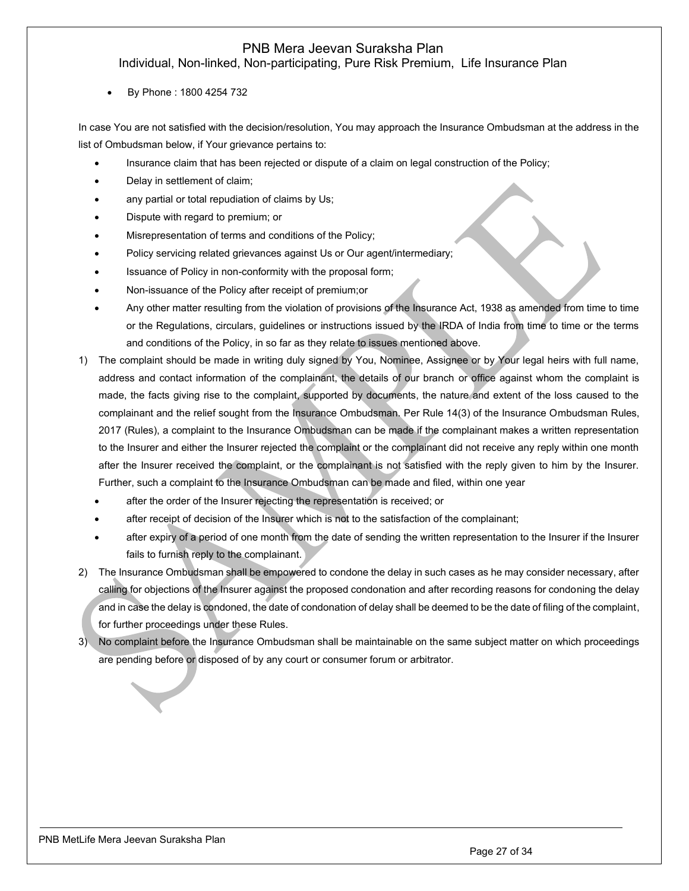# PNB Mera Jeevan Suraksha Plan

Individual, Non-linked, Non-participating, Pure Risk Premium, Life Insurance Plan

• By Phone : 1800 4254 732

In case You are not satisfied with the decision/resolution, You may approach the Insurance Ombudsman at the address in the list of Ombudsman below, if Your grievance pertains to:

- Insurance claim that has been rejected or dispute of a claim on legal construction of the Policy;
- Delay in settlement of claim;
- any partial or total repudiation of claims by Us;
- Dispute with regard to premium; or
- Misrepresentation of terms and conditions of the Policy;
- Policy servicing related grievances against Us or Our agent/intermediary;
- Issuance of Policy in non-conformity with the proposal form;
- Non-issuance of the Policy after receipt of premium;or
- Any other matter resulting from the violation of provisions of the Insurance Act, 1938 as amended from time to time or the Regulations, circulars, guidelines or instructions issued by the IRDA of India from time to time or the terms and conditions of the Policy, in so far as they relate to issues mentioned above.
- 1) The complaint should be made in writing duly signed by You, Nominee, Assignee or by Your legal heirs with full name, address and contact information of the complainant, the details of our branch or office against whom the complaint is made, the facts giving rise to the complaint, supported by documents, the nature and extent of the loss caused to the complainant and the relief sought from the Insurance Ombudsman. Per Rule 14(3) of the Insurance Ombudsman Rules, 2017 (Rules), a complaint to the Insurance Ombudsman can be made if the complainant makes a written representation to the Insurer and either the Insurer rejected the complaint or the complainant did not receive any reply within one month after the Insurer received the complaint, or the complainant is not satisfied with the reply given to him by the Insurer. Further, such a complaint to the Insurance Ombudsman can be made and filed, within one year
	- after the order of the Insurer rejecting the representation is received; or
	- after receipt of decision of the Insurer which is not to the satisfaction of the complainant;
	- after expiry of a period of one month from the date of sending the written representation to the Insurer if the Insurer fails to furnish reply to the complainant.
- 2) The Insurance Ombudsman shall be empowered to condone the delay in such cases as he may consider necessary, after calling for objections of the Insurer against the proposed condonation and after recording reasons for condoning the delay and in case the delay is condoned, the date of condonation of delay shall be deemed to be the date of filing of the complaint, for further proceedings under these Rules.
- 3) No complaint before the Insurance Ombudsman shall be maintainable on the same subject matter on which proceedings are pending before or disposed of by any court or consumer forum or arbitrator.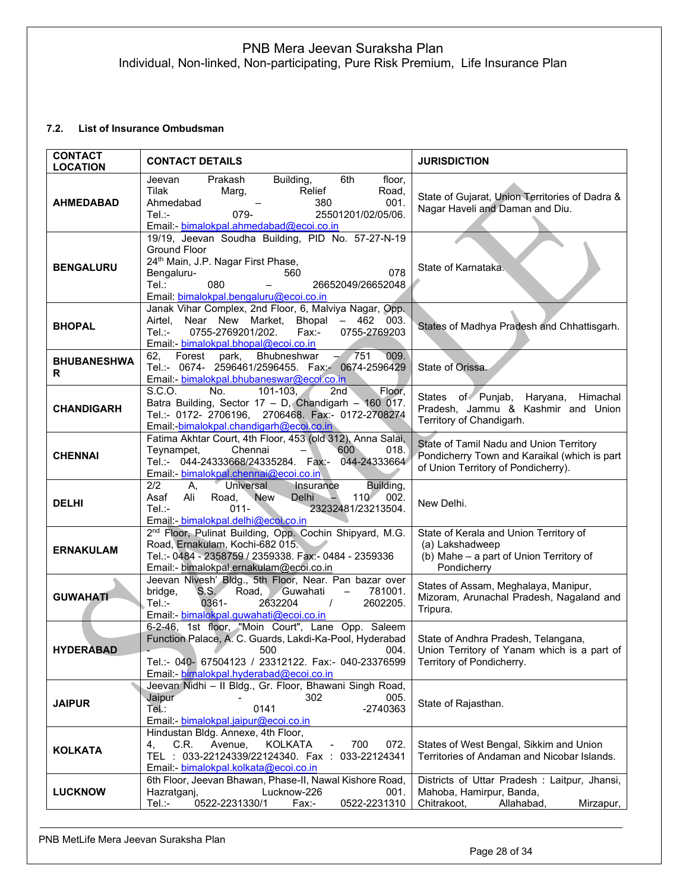## <span id="page-27-0"></span>**7.2. List of Insurance Ombudsman**

| <b>CONTACT</b><br><b>LOCATION</b> | <b>CONTACT DETAILS</b>                                                                                                                                                                                                               | <b>JURISDICTION</b>                                                                                                            |
|-----------------------------------|--------------------------------------------------------------------------------------------------------------------------------------------------------------------------------------------------------------------------------------|--------------------------------------------------------------------------------------------------------------------------------|
| <b>AHMEDABAD</b>                  | Building,<br>6th<br>Prakash<br>floor,<br>Jeevan<br>Tilak<br>Relief<br>Marg,<br>Road,<br>Ahmedabad<br>001.<br>380<br>$Tel$ :-<br>079-<br>25501201/02/05/06.<br>Email: bimalokpal.ahmedabad@ecoi.co.in                                 | State of Gujarat, Union Territories of Dadra &<br>Nagar Haveli and Daman and Diu.                                              |
| <b>BENGALURU</b>                  | 19/19, Jeevan Soudha Building, PID No. 57-27-N-19<br><b>Ground Floor</b><br>24 <sup>th</sup> Main, J.P. Nagar First Phase,<br>078<br>Bengaluru-<br>560<br>080<br>Tel:<br>26652049/26652048<br>Email: bimalokpal.bengaluru@ecoi.co.in | State of Karnataka.                                                                                                            |
| <b>BHOPAL</b>                     | Janak Vihar Complex, 2nd Floor, 6, Malviya Nagar, Opp.<br>Airtel, Near New Market, Bhopal - 462 003.<br>0755-2769201/202.<br>Tel∴-<br>$Fax -$<br>0755-2769203<br>Email: bimalokpal.bhopal@ecoi.co.in                                 | States of Madhya Pradesh and Chhattisgarh.                                                                                     |
| <b>BHUBANESHWA</b><br>R           | 62, Forest park, Bhubneshwar<br>009.<br>$-7751$<br>Tel.:- 0674- 2596461/2596455. Fax:- 0674-2596429<br>Email: bimalokpal.bhubaneswar@ecoi.co.in                                                                                      | State of Orissa.                                                                                                               |
| <b>CHANDIGARH</b>                 | S.C.O.<br>2nd<br>Floor,<br>No.<br>$101 - 103$ ,<br>Batra Building, Sector 17 - D, Chandigarh - 160 017.<br>Tel.:- 0172- 2706196, 2706468. Fax:- 0172-2708274<br>Email: bimalokpal.chandigarh@ecoi.co.in                              | States of Punjab, Haryana, Himachal<br>Pradesh, Jammu & Kashmir and Union<br>Territory of Chandigarh.                          |
| <b>CHENNAI</b>                    | Fatima Akhtar Court, 4th Floor, 453 (old 312), Anna Salai,<br>Chennai<br>600<br>Teynampet,<br>$\qquad \qquad -$<br>018.<br>Tel.:- 044-24333668/24335284. Fax:- 044-24333664<br>Email: bimalokpal.chennai@ecoi.co.in                  | State of Tamil Nadu and Union Territory<br>Pondicherry Town and Karaikal (which is part<br>of Union Territory of Pondicherry). |
| <b>DELHI</b>                      | 2/2<br><b>Universal</b><br>Insurance<br>Building,<br>А.<br>Road, New<br>Delhi<br>110<br>002.<br>Asaf<br>Ali<br>23232481/23213504.<br>$Tel: -$<br>$011 -$<br>Email: bimalokpal.delhi@ecoi.co.in                                       | New Delhi.                                                                                                                     |
| <b>ERNAKULAM</b>                  | 2 <sup>nd</sup> Floor, Pulinat Building, Opp. Cochin Shipyard, M.G.<br>Road, Ernakulam, Kochi-682 015.<br>Tel.:- 0484 - 2358759 / 2359338. Fax:- 0484 - 2359336<br>Email:- bimalokpal.ernakulam@ecoi.co.in                           | State of Kerala and Union Territory of<br>(a) Lakshadweep<br>(b) Mahe - a part of Union Territory of<br>Pondicherry            |
| <b>GUWAHATI</b>                   | Jeevan Nivesh' Bldg., 5th Floor, Near. Pan bazar over<br>S.S.<br>Road, Guwahati<br>781001.<br>bridge,<br>$-$<br>0361-<br>2632204<br>2602205.<br>$Tel$ :-<br>$\sqrt{ }$<br>Email: bimalokpal.guwahati@ecoi.co.in                      | States of Assam, Meghalaya, Manipur,<br>Mizoram, Arunachal Pradesh, Nagaland and<br>Tripura.                                   |
| <b>HYDERABAD</b>                  | 6-2-46, 1st floor, "Moin Court", Lane Opp. Saleem<br>Function Palace, A. C. Guards, Lakdi-Ka-Pool, Hyderabad<br>500 004.<br>Tel.:- 040- 67504123 / 23312122. Fax:- 040-23376599<br>Email: bimalokpal.hyderabad@ecoi.co.in            | State of Andhra Pradesh, Telangana,<br>Union Territory of Yanam which is a part of<br>Territory of Pondicherry.                |
| <b>JAIPUR</b>                     | Jeevan Nidhi - Il Bldg., Gr. Floor, Bhawani Singh Road,<br>Jaipur<br>302<br>005.<br>Tel.:<br>0141<br>-2740363<br>Email: bimalokpal.jaipur@ecoi.co.in                                                                                 | State of Rajasthan.                                                                                                            |
| <b>KOLKATA</b>                    | Hindustan Bldg. Annexe, 4th Floor,<br>C.R.<br>Avenue,<br><b>KOLKATA</b><br>700<br>072.<br>4,<br>TEL: 033-22124339/22124340. Fax:<br>033-22124341<br>Email: bimalokpal.kolkata@ecoi.co.in                                             | States of West Bengal, Sikkim and Union<br>Territories of Andaman and Nicobar Islands.                                         |
| <b>LUCKNOW</b>                    | 6th Floor, Jeevan Bhawan, Phase-II, Nawal Kishore Road,<br>Hazratganj,<br>Lucknow-226<br>001.<br>Tel.:-<br>0522-2231330/1<br>Fax:-<br>0522-2231310                                                                                   | Districts of Uttar Pradesh: Laitpur, Jhansi,<br>Mahoba, Hamirpur, Banda,<br>Chitrakoot,<br>Allahabad,<br>Mirzapur,             |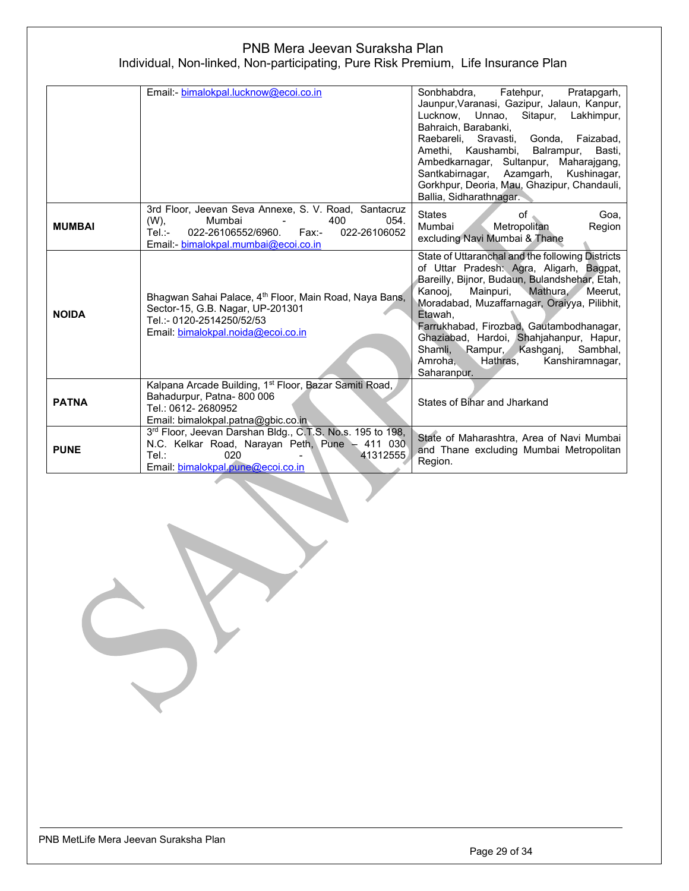|               | Email: bimalokpal.lucknow@ecoi.co.in                                                                                                                                                    | Sonbhabdra, Fatehpur,<br>Pratapgarh,<br>Jaunpur, Varanasi, Gazipur, Jalaun, Kanpur,<br>Lucknow, Unnao,<br>Sitapur,<br>Lakhimpur,<br>Bahraich, Barabanki,<br>Raebareli, Sravasti, Gonda, Faizabad,<br>Amethi, Kaushambi,<br>Balrampur,<br>Basti,<br>Ambedkarnagar, Sultanpur, Maharajgang,<br>Santkabirnagar, Azamgarh,<br>Kushinagar,<br>Gorkhpur, Deoria, Mau, Ghazipur, Chandauli,<br>Ballia, Sidharathnagar.                                     |
|---------------|-----------------------------------------------------------------------------------------------------------------------------------------------------------------------------------------|-----------------------------------------------------------------------------------------------------------------------------------------------------------------------------------------------------------------------------------------------------------------------------------------------------------------------------------------------------------------------------------------------------------------------------------------------------|
| <b>MUMBAI</b> | 3rd Floor, Jeevan Seva Annexe, S. V. Road, Santacruz<br>$(W)$ ,<br>Mumbai<br>400<br>054.<br>022-26106552/6960.<br>Fax:<br>Tel.:-<br>022-26106052<br>Email: bimalokpal.mumbai@ecoi.co.in | <b>States</b><br>Goa.<br>οf<br>Mumbai<br>Metropolitan<br>Region<br>excluding Navi Mumbai & Thane                                                                                                                                                                                                                                                                                                                                                    |
| <b>NOIDA</b>  | Bhagwan Sahai Palace, 4 <sup>th</sup> Floor, Main Road, Naya Bans,<br>Sector-15, G.B. Nagar, UP-201301<br>Tel.:- 0120-2514250/52/53<br>Email: bimalokpal.noida@ecoi.co.in               | State of Uttaranchal and the following Districts<br>of Uttar Pradesh: Agra, Aligarh, Bagpat,<br>Bareilly, Bijnor, Budaun, Bulandshehar, Etah,<br>Mainpuri,<br>Mathura,<br>Kanooj,<br>Meerut.<br>Moradabad, Muzaffarnagar, Oraiyya, Pilibhit,<br>Etawah.<br>Farrukhabad, Firozbad, Gautambodhanagar,<br>Ghaziabad, Hardoi, Shahjahanpur, Hapur,<br>Rampur, Kashganj,<br>Shamli,<br>Sambhal,<br>Hathras,<br>Kanshiramnagar,<br>Amroha.<br>Saharanpur. |
| <b>PATNA</b>  | Kalpana Arcade Building, 1 <sup>st</sup> Floor, Bazar Samiti Road,<br>Bahadurpur, Patna-800 006<br>Tel.: 0612-2680952<br>Email: bimalokpal.patna@gbic.co.in                             | States of Bihar and Jharkand                                                                                                                                                                                                                                                                                                                                                                                                                        |
| <b>PUNE</b>   | 3rd Floor, Jeevan Darshan Bldg., C.T.S. No.s. 195 to 198,<br>N.C. Kelkar Road, Narayan Peth, Pune - 411 030.<br>020<br>Tel:<br>41312555<br>Email: bimalokpal.pune@ecoi.co.in            | State of Maharashtra, Area of Navi Mumbai<br>and Thane excluding Mumbai Metropolitan<br>Region.                                                                                                                                                                                                                                                                                                                                                     |

PNB MetLife Mera Jeevan Suraksha Plan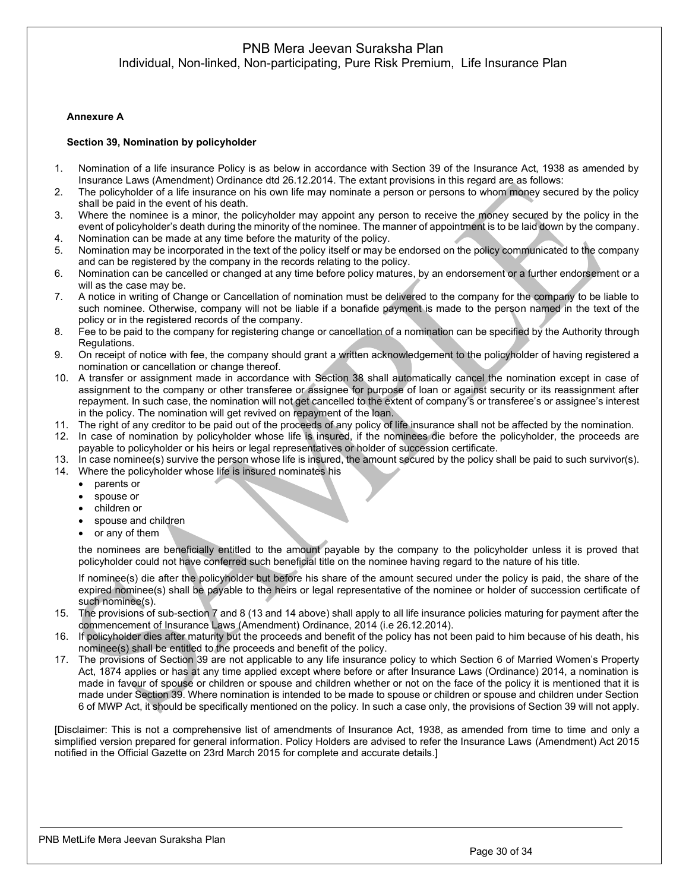## PNB Mera Jeevan Suraksha Plan

Individual, Non-linked, Non-participating, Pure Risk Premium, Life Insurance Plan

#### <span id="page-29-0"></span>**Annexure A**

#### <span id="page-29-1"></span>**Section 39, Nomination by policyholder**

- 1. Nomination of a life insurance Policy is as below in accordance with Section 39 of the Insurance Act, 1938 as amended by Insurance Laws (Amendment) Ordinance dtd 26.12.2014. The extant provisions in this regard are as follows:
- 2. The policyholder of a life insurance on his own life may nominate a person or persons to whom money secured by the policy shall be paid in the event of his death.
- 3. Where the nominee is a minor, the policyholder may appoint any person to receive the money secured by the policy in the event of policyholder's death during the minority of the nominee. The manner of appointment is to be laid down by the company. 4. Nomination can be made at any time before the maturity of the policy.
- 5. Nomination may be incorporated in the text of the policy itself or may be endorsed on the policy communicated to the company
- and can be registered by the company in the records relating to the policy.
- 6. Nomination can be cancelled or changed at any time before policy matures, by an endorsement or a further endorsement or a will as the case may be.
- 7. A notice in writing of Change or Cancellation of nomination must be delivered to the company for the company to be liable to such nominee. Otherwise, company will not be liable if a bonafide payment is made to the person named in the text of the policy or in the registered records of the company.
- 8. Fee to be paid to the company for registering change or cancellation of a nomination can be specified by the Authority through Regulations.
- 9. On receipt of notice with fee, the company should grant a written acknowledgement to the policyholder of having registered a nomination or cancellation or change thereof.
- 10. A transfer or assignment made in accordance with Section 38 shall automatically cancel the nomination except in case of assignment to the company or other transferee or assignee for purpose of loan or against security or its reassignment after repayment. In such case, the nomination will not get cancelled to the extent of company's or transferee's or assignee's interest in the policy. The nomination will get revived on repayment of the loan.
- 11. The right of any creditor to be paid out of the proceeds of any policy of life insurance shall not be affected by the nomination.
- 12. In case of nomination by policyholder whose life is insured, if the nominees die before the policyholder, the proceeds are payable to policyholder or his heirs or legal representatives or holder of succession certificate.
- 13. In case nominee(s) survive the person whose life is insured, the amount secured by the policy shall be paid to such survivor(s).
- 14. Where the policyholder whose life is insured nominates his
	- parents or
	- spouse or
	- children or
	- spouse and children
	- or any of them

the nominees are beneficially entitled to the amount payable by the company to the policyholder unless it is proved that policyholder could not have conferred such beneficial title on the nominee having regard to the nature of his title.

If nominee(s) die after the policyholder but before his share of the amount secured under the policy is paid, the share of the expired nominee(s) shall be payable to the heirs or legal representative of the nominee or holder of succession certificate of such nominee(s).

- 15. The provisions of sub-section 7 and 8 (13 and 14 above) shall apply to all life insurance policies maturing for payment after the commencement of Insurance Laws (Amendment) Ordinance, 2014 (i.e 26.12.2014).
- 16. If policyholder dies after maturity but the proceeds and benefit of the policy has not been paid to him because of his death, his nominee(s) shall be entitled to the proceeds and benefit of the policy.
- 17. The provisions of Section 39 are not applicable to any life insurance policy to which Section 6 of Married Women's Property Act, 1874 applies or has at any time applied except where before or after Insurance Laws (Ordinance) 2014, a nomination is made in favour of spouse or children or spouse and children whether or not on the face of the policy it is mentioned that it is made under Section 39. Where nomination is intended to be made to spouse or children or spouse and children under Section 6 of MWP Act, it should be specifically mentioned on the policy. In such a case only, the provisions of Section 39 will not apply.

[Disclaimer: This is not a comprehensive list of amendments of Insurance Act, 1938, as amended from time to time and only a simplified version prepared for general information. Policy Holders are advised to refer the Insurance Laws (Amendment) Act 2015 notified in the Official Gazette on 23rd March 2015 for complete and accurate details.]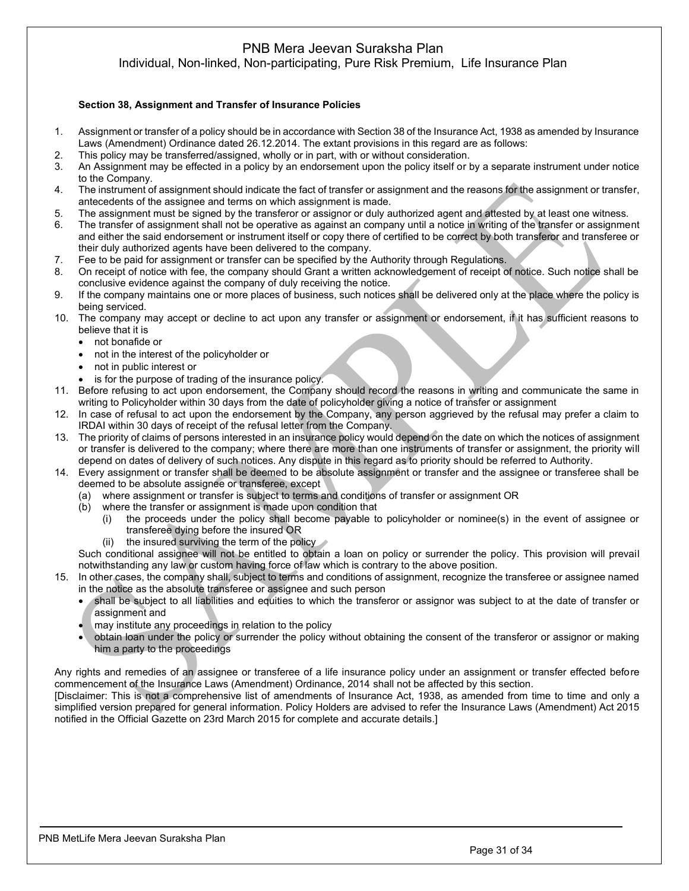# PNB Mera Jeevan Suraksha Plan

Individual, Non-linked, Non-participating, Pure Risk Premium, Life Insurance Plan

### <span id="page-30-0"></span>**Section 38, Assignment and Transfer of Insurance Policies**

- 1. Assignment or transfer of a policy should be in accordance with Section 38 of the Insurance Act, 1938 as amended by Insurance Laws (Amendment) Ordinance dated 26.12.2014. The extant provisions in this regard are as follows:
- 2. This policy may be transferred/assigned, wholly or in part, with or without consideration.
- 3. An Assignment may be effected in a policy by an endorsement upon the policy itself or by a separate instrument under notice to the Company.
- 4. The instrument of assignment should indicate the fact of transfer or assignment and the reasons for the assignment or transfer, antecedents of the assignee and terms on which assignment is made.
- 5. The assignment must be signed by the transferor or assignor or duly authorized agent and attested by at least one witness.
- 6. The transfer of assignment shall not be operative as against an company until a notice in writing of the transfer or assignment and either the said endorsement or instrument itself or copy there of certified to be correct by both transferor and transferee or their duly authorized agents have been delivered to the company.
- 7. Fee to be paid for assignment or transfer can be specified by the Authority through Regulations.
- 8. On receipt of notice with fee, the company should Grant a written acknowledgement of receipt of notice. Such notice shall be conclusive evidence against the company of duly receiving the notice.
- 9. If the company maintains one or more places of business, such notices shall be delivered only at the place where the policy is being serviced.
- 10. The company may accept or decline to act upon any transfer or assignment or endorsement, if it has sufficient reasons to believe that it is
	- not bonafide or
	- not in the interest of the policyholder or
	- not in public interest or
	- is for the purpose of trading of the insurance policy.
- 11. Before refusing to act upon endorsement, the Company should record the reasons in writing and communicate the same in writing to Policyholder within 30 days from the date of policyholder giving a notice of transfer or assignment
- 12. In case of refusal to act upon the endorsement by the Company, any person aggrieved by the refusal may prefer a claim to IRDAI within 30 days of receipt of the refusal letter from the Company.
- 13. The priority of claims of persons interested in an insurance policy would depend on the date on which the notices of assignment or transfer is delivered to the company; where there are more than one instruments of transfer or assignment, the priority will depend on dates of delivery of such notices. Any dispute in this regard as to priority should be referred to Authority.
- 14. Every assignment or transfer shall be deemed to be absolute assignment or transfer and the assignee or transferee shall be deemed to be absolute assignee or transferee, except
	- (a) where assignment or transfer is subject to terms and conditions of transfer or assignment OR
	- (b) where the transfer or assignment is made upon condition that
		- (i) the proceeds under the policy shall become payable to policyholder or nominee(s) in the event of assignee or transferee dying before the insured OR
		- (ii) the insured surviving the term of the policy

Such conditional assignee will not be entitled to obtain a loan on policy or surrender the policy. This provision will prevail notwithstanding any law or custom having force of law which is contrary to the above position.

- 15. In other cases, the company shall, subject to terms and conditions of assignment, recognize the transferee or assignee named in the notice as the absolute transferee or assignee and such person
	- shall be subject to all liabilities and equities to which the transferor or assignor was subject to at the date of transfer or assignment and
	- may institute any proceedings in relation to the policy
	- obtain loan under the policy or surrender the policy without obtaining the consent of the transferor or assignor or making him a party to the proceedings

Any rights and remedies of an assignee or transferee of a life insurance policy under an assignment or transfer effected before commencement of the Insurance Laws (Amendment) Ordinance, 2014 shall not be affected by this section.

[Disclaimer: This is not a comprehensive list of amendments of Insurance Act, 1938, as amended from time to time and only a simplified version prepared for general information. Policy Holders are advised to refer the Insurance Laws (Amendment) Act 2015 notified in the Official Gazette on 23rd March 2015 for complete and accurate details.]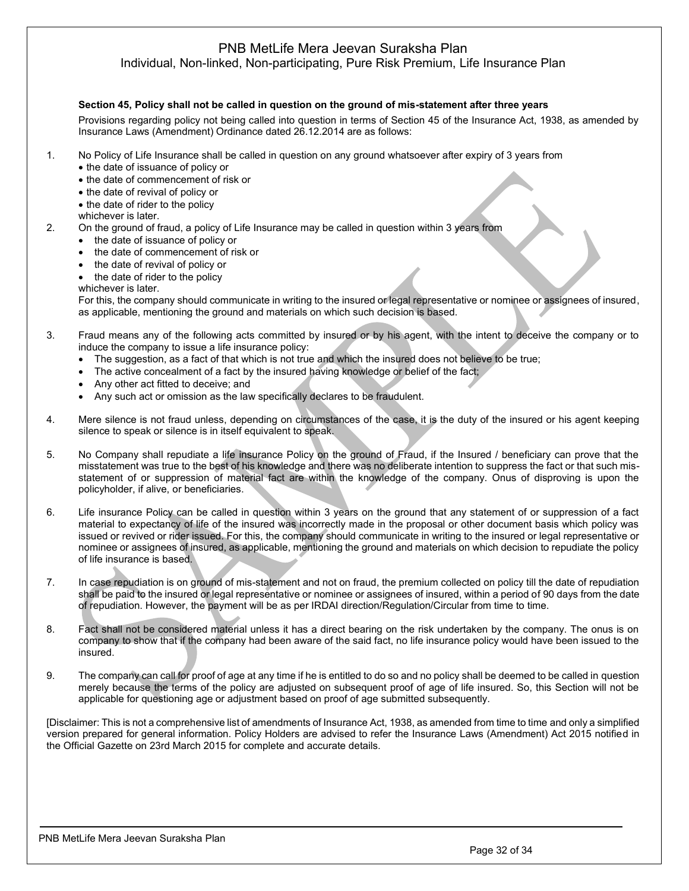Individual, Non-linked, Non-participating, Pure Risk Premium, Life Insurance Plan

#### <span id="page-31-0"></span>**Section 45, Policy shall not be called in question on the ground of mis-statement after three years**

Provisions regarding policy not being called into question in terms of Section 45 of the Insurance Act, 1938, as amended by Insurance Laws (Amendment) Ordinance dated 26.12.2014 are as follows:

- 1. No Policy of Life Insurance shall be called in question on any ground whatsoever after expiry of 3 years from
	- the date of issuance of policy or
	- the date of commencement of risk or
	- the date of revival of policy or
	- the date of rider to the policy
	- whichever is later.
- 2. On the ground of fraud, a policy of Life Insurance may be called in question within 3 years from
	- the date of issuance of policy or
	- the date of commencement of risk or
	- the date of revival of policy or
	- the date of rider to the policy

whichever is later.

For this, the company should communicate in writing to the insured or legal representative or nominee or assignees of insured, as applicable, mentioning the ground and materials on which such decision is based.

- 3. Fraud means any of the following acts committed by insured or by his agent, with the intent to deceive the company or to induce the company to issue a life insurance policy:
	- The suggestion, as a fact of that which is not true and which the insured does not believe to be true;
	- The active concealment of a fact by the insured having knowledge or belief of the fact;
	- Any other act fitted to deceive; and
	- Any such act or omission as the law specifically declares to be fraudulent.
- 4. Mere silence is not fraud unless, depending on circumstances of the case, it is the duty of the insured or his agent keeping silence to speak or silence is in itself equivalent to speak.
- 5. No Company shall repudiate a life insurance Policy on the ground of Fraud, if the Insured / beneficiary can prove that the misstatement was true to the best of his knowledge and there was no deliberate intention to suppress the fact or that such misstatement of or suppression of material fact are within the knowledge of the company. Onus of disproving is upon the policyholder, if alive, or beneficiaries.
- 6. Life insurance Policy can be called in question within 3 years on the ground that any statement of or suppression of a fact material to expectancy of life of the insured was incorrectly made in the proposal or other document basis which policy was issued or revived or rider issued. For this, the company should communicate in writing to the insured or legal representative or nominee or assignees of insured, as applicable, mentioning the ground and materials on which decision to repudiate the policy of life insurance is based.
- 7. In case repudiation is on ground of mis-statement and not on fraud, the premium collected on policy till the date of repudiation shall be paid to the insured or legal representative or nominee or assignees of insured, within a period of 90 days from the date of repudiation. However, the payment will be as per IRDAI direction/Regulation/Circular from time to time.
- 8. Fact shall not be considered material unless it has a direct bearing on the risk undertaken by the company. The onus is on company to show that if the company had been aware of the said fact, no life insurance policy would have been issued to the insured.
- 9. The company can call for proof of age at any time if he is entitled to do so and no policy shall be deemed to be called in question merely because the terms of the policy are adjusted on subsequent proof of age of life insured. So, this Section will not be applicable for questioning age or adjustment based on proof of age submitted subsequently.

[Disclaimer: This is not a comprehensive list of amendments of Insurance Act, 1938, as amended from time to time and only a simplified version prepared for general information. Policy Holders are advised to refer the Insurance Laws (Amendment) Act 2015 notified in the Official Gazette on 23rd March 2015 for complete and accurate details.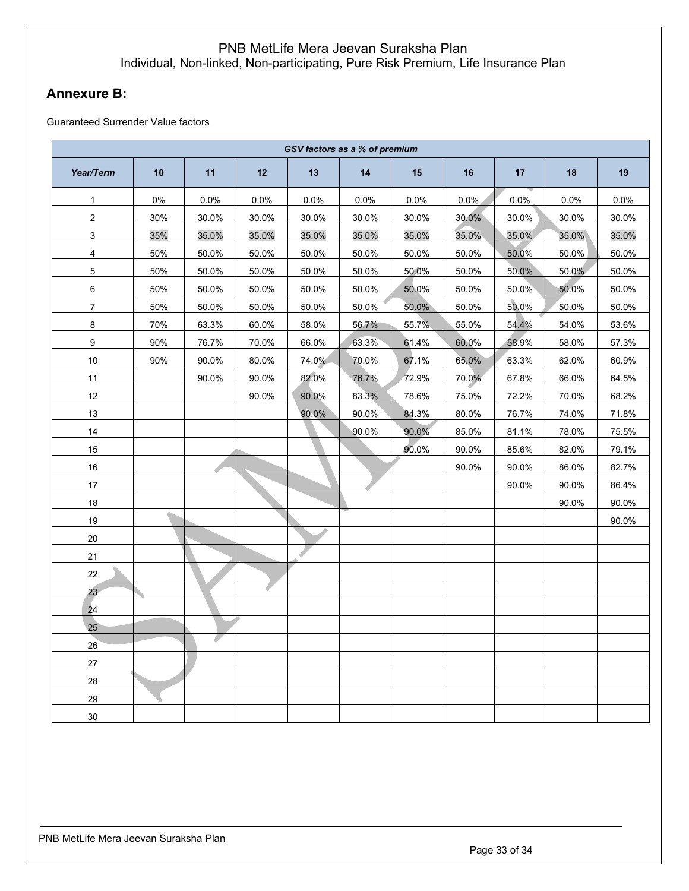# <span id="page-32-0"></span>**Annexure B:**

Guaranteed Surrender Value factors

| GSV factors as a % of premium |       |       |       |       |       |       |       |       |       |       |  |
|-------------------------------|-------|-------|-------|-------|-------|-------|-------|-------|-------|-------|--|
| Year/Term                     | 10    | 11    | 12    | 13    | 14    | 15    | 16    | 17    | 18    | 19    |  |
| 1                             | $0\%$ | 0.0%  | 0.0%  | 0.0%  | 0.0%  | 0.0%  | 0.0%  | 0.0%  | 0.0%  | 0.0%  |  |
| $\overline{c}$                | 30%   | 30.0% | 30.0% | 30.0% | 30.0% | 30.0% | 30.0% | 30.0% | 30.0% | 30.0% |  |
| $\mathbf{3}$                  | 35%   | 35.0% | 35.0% | 35.0% | 35.0% | 35.0% | 35.0% | 35.0% | 35.0% | 35.0% |  |
| $\overline{4}$                | 50%   | 50.0% | 50.0% | 50.0% | 50.0% | 50.0% | 50.0% | 50.0% | 50.0% | 50.0% |  |
| 5                             | 50%   | 50.0% | 50.0% | 50.0% | 50.0% | 50.0% | 50.0% | 50.0% | 50.0% | 50.0% |  |
| $\,6\,$                       | 50%   | 50.0% | 50.0% | 50.0% | 50.0% | 50.0% | 50.0% | 50.0% | 50.0% | 50.0% |  |
| $\overline{7}$                | 50%   | 50.0% | 50.0% | 50.0% | 50.0% | 50.0% | 50.0% | 50.0% | 50.0% | 50.0% |  |
| 8                             | 70%   | 63.3% | 60.0% | 58.0% | 56.7% | 55.7% | 55.0% | 54.4% | 54.0% | 53.6% |  |
| $\boldsymbol{9}$              | 90%   | 76.7% | 70.0% | 66.0% | 63.3% | 61.4% | 60.0% | 58.9% | 58.0% | 57.3% |  |
| 10                            | 90%   | 90.0% | 80.0% | 74.0% | 70.0% | 67.1% | 65.0% | 63.3% | 62.0% | 60.9% |  |
| 11                            |       | 90.0% | 90.0% | 82.0% | 76.7% | 72.9% | 70.0% | 67.8% | 66.0% | 64.5% |  |
| $12\,$                        |       |       | 90.0% | 90.0% | 83.3% | 78.6% | 75.0% | 72.2% | 70.0% | 68.2% |  |
| 13                            |       |       |       | 90.0% | 90.0% | 84.3% | 80.0% | 76.7% | 74.0% | 71.8% |  |
| 14                            |       |       |       |       | 90.0% | 90.0% | 85.0% | 81.1% | 78.0% | 75.5% |  |
| 15                            |       |       |       |       |       | 90.0% | 90.0% | 85.6% | 82.0% | 79.1% |  |
| 16                            |       |       |       |       |       |       | 90.0% | 90.0% | 86.0% | 82.7% |  |
| 17                            |       |       |       |       |       |       |       | 90.0% | 90.0% | 86.4% |  |
| 18                            |       |       |       |       |       |       |       |       | 90.0% | 90.0% |  |
| 19                            |       |       |       |       |       |       |       |       |       | 90.0% |  |
| $20\,$                        |       |       |       |       |       |       |       |       |       |       |  |
| 21                            |       |       |       |       |       |       |       |       |       |       |  |
| 22                            |       |       |       |       |       |       |       |       |       |       |  |
| 23                            |       |       |       |       |       |       |       |       |       |       |  |
| 24                            |       |       |       |       |       |       |       |       |       |       |  |
| 25                            |       |       |       |       |       |       |       |       |       |       |  |
| 26                            |       |       |       |       |       |       |       |       |       |       |  |
| $27\,$                        |       |       |       |       |       |       |       |       |       |       |  |
| 28                            |       |       |       |       |       |       |       |       |       |       |  |
| 29                            |       |       |       |       |       |       |       |       |       |       |  |
| 30                            |       |       |       |       |       |       |       |       |       |       |  |